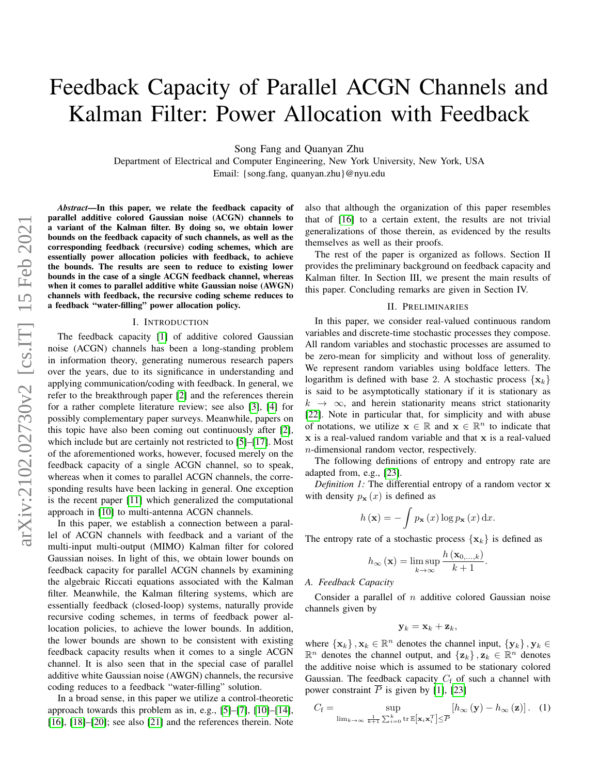# Feedback Capacity of Parallel ACGN Channels and Kalman Filter: Power Allocation with Feedback

Song Fang and Quanyan Zhu

Department of Electrical and Computer Engineering, New York University, New York, USA Email: {song.fang, quanyan.zhu}@nyu.edu

*Abstract*—In this paper, we relate the feedback capacity of parallel additive colored Gaussian noise (ACGN) channels to a variant of the Kalman filter. By doing so, we obtain lower bounds on the feedback capacity of such channels, as well as the corresponding feedback (recursive) coding schemes, which are essentially power allocation policies with feedback, to achieve the bounds. The results are seen to reduce to existing lower bounds in the case of a single ACGN feedback channel, whereas when it comes to parallel additive white Gaussian noise (AWGN) channels with feedback, the recursive coding scheme reduces to a feedback "water-filling" power allocation policy.

## I. INTRODUCTION

The feedback capacity [\[1\]](#page-11-0) of additive colored Gaussian noise (ACGN) channels has been a long-standing problem in information theory, generating numerous research papers over the years, due to its significance in understanding and applying communication/coding with feedback. In general, we refer to the breakthrough paper [\[2\]](#page-11-1) and the references therein for a rather complete literature review; see also [\[3\]](#page-11-2), [\[4\]](#page-11-3) for possibly complementary paper surveys. Meanwhile, papers on this topic have also been coming out continuously after [\[2\]](#page-11-1), which include but are certainly not restricted to [\[5\]](#page-11-4)–[\[17\]](#page-11-5). Most of the aforementioned works, however, focused merely on the feedback capacity of a single ACGN channel, so to speak, whereas when it comes to parallel ACGN channels, the corresponding results have been lacking in general. One exception is the recent paper [\[11\]](#page-11-6) which generalized the computational approach in [\[10\]](#page-11-7) to multi-antenna ACGN channels.

In this paper, we establish a connection between a parallel of ACGN channels with feedback and a variant of the multi-input multi-output (MIMO) Kalman filter for colored Gaussian noises. In light of this, we obtain lower bounds on feedback capacity for parallel ACGN channels by examining the algebraic Riccati equations associated with the Kalman filter. Meanwhile, the Kalman filtering systems, which are essentially feedback (closed-loop) systems, naturally provide recursive coding schemes, in terms of feedback power allocation policies, to achieve the lower bounds. In addition, the lower bounds are shown to be consistent with existing feedback capacity results when it comes to a single ACGN channel. It is also seen that in the special case of parallel additive white Gaussian noise (AWGN) channels, the recursive coding reduces to a feedback "water-filling" solution.

In a broad sense, in this paper we utilize a control-theoretic approach towards this problem as in, e.g., [\[5\]](#page-11-4)–[\[7\]](#page-11-8), [\[10\]](#page-11-7)–[\[14\]](#page-11-9), [\[16\]](#page-11-10), [\[18\]](#page-11-11)–[\[20\]](#page-11-12); see also [\[21\]](#page-11-13) and the references therein. Note also that although the organization of this paper resembles that of [\[16\]](#page-11-10) to a certain extent, the results are not trivial generalizations of those therein, as evidenced by the results themselves as well as their proofs.

The rest of the paper is organized as follows. Section II provides the preliminary background on feedback capacity and Kalman filter. In Section III, we present the main results of this paper. Concluding remarks are given in Section IV.

## II. PRELIMINARIES

In this paper, we consider real-valued continuous random variables and discrete-time stochastic processes they compose. All random variables and stochastic processes are assumed to be zero-mean for simplicity and without loss of generality. We represent random variables using boldface letters. The logarithm is defined with base 2. A stochastic process  $\{x_k\}$ is said to be asymptotically stationary if it is stationary as  $k \rightarrow \infty$ , and herein stationarity means strict stationarity [\[22\]](#page-11-14). Note in particular that, for simplicity and with abuse of notations, we utilize  $\mathbf{x} \in \mathbb{R}$  and  $\mathbf{x} \in \mathbb{R}^n$  to indicate that x is a real-valued random variable and that x is a real-valued n-dimensional random vector, respectively.

The following definitions of entropy and entropy rate are adapted from, e.g., [\[23\]](#page-11-15).

*Definition 1:* The differential entropy of a random vector x with density  $p_{\mathbf{x}}(x)$  is defined as

$$
h(\mathbf{x}) = -\int p_{\mathbf{x}}(x) \log p_{\mathbf{x}}(x) dx.
$$

The entropy rate of a stochastic process  $\{x_k\}$  is defined as

$$
h_{\infty}(\mathbf{x}) = \limsup_{k \to \infty} \frac{h(\mathbf{x}_{0,...,k})}{k+1}.
$$

#### <span id="page-0-1"></span>*A. Feedback Capacity*

Consider a parallel of  $n$  additive colored Gaussian noise channels given by

<span id="page-0-0"></span>
$$
\mathbf{y}_k = \mathbf{x}_k + \mathbf{z}_k,
$$

where  $\{x_k\}$ ,  $x_k \in \mathbb{R}^n$  denotes the channel input,  $\{y_k\}$ ,  $y_k \in$  $\mathbb{R}^n$  denotes the channel output, and  $\{z_k\}$ ,  $z_k \in \mathbb{R}^n$  denotes the additive noise which is assumed to be stationary colored Gaussian. The feedback capacity  $C_f$  of such a channel with power constraint  $\overline{P}$  is given by [\[1\]](#page-11-0), [\[23\]](#page-11-15)

$$
C_{\mathbf{f}} = \sup_{\lim_{k \to \infty} \frac{1}{k+1} \sum_{i=0}^{k} \text{tr}\,\mathbb{E}[\mathbf{x}_i \mathbf{x}_i^{\mathrm{T}}] \leq \overline{P}} [h_{\infty}(\mathbf{y}) - h_{\infty}(\mathbf{z})]. \quad (1)
$$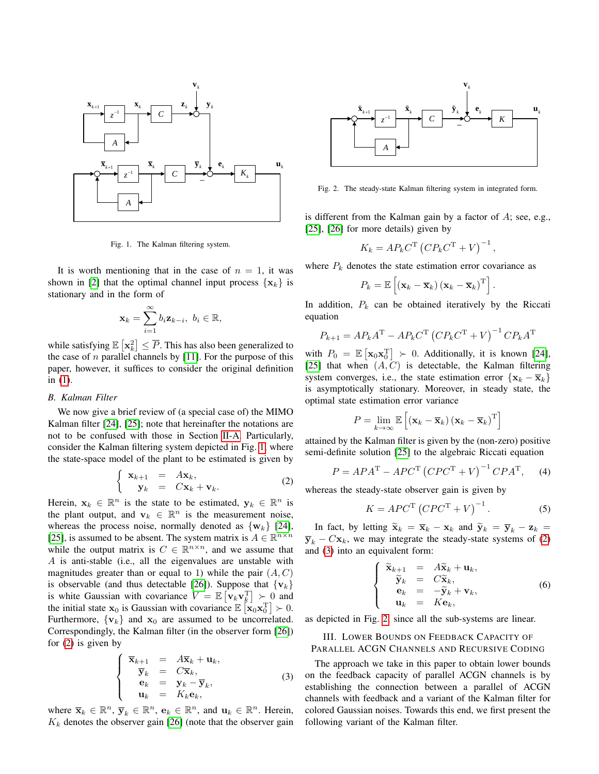

<span id="page-1-0"></span>Fig. 1. The Kalman filtering system.

It is worth mentioning that in the case of  $n = 1$ , it was shown in [\[2\]](#page-11-1) that the optimal channel input process  $\{x_k\}$  is stationary and in the form of

$$
\mathbf{x}_k = \sum_{i=1}^{\infty} b_i \mathbf{z}_{k-i}, \ b_i \in \mathbb{R},
$$

while satisfying  $\mathbb{E}\left[\mathbf{x}_k^2\right] \leq \overline{P}$ . This has also been generalized to the case of  $n$  parallel channels by [\[11\]](#page-11-6). For the purpose of this paper, however, it suffices to consider the original definition in [\(1\)](#page-0-0).

#### *B. Kalman Filter*

We now give a brief review of (a special case of) the MIMO Kalman filter [\[24\]](#page-12-0), [\[25\]](#page-12-1); note that hereinafter the notations are not to be confused with those in Section [II-A.](#page-0-1) Particularly, consider the Kalman filtering system depicted in Fig. [1,](#page-1-0) where the state-space model of the plant to be estimated is given by

$$
\begin{cases} \mathbf{x}_{k+1} = A\mathbf{x}_k, \\ \mathbf{y}_k = C\mathbf{x}_k + \mathbf{v}_k. \end{cases} (2)
$$

Herein,  $x_k \in \mathbb{R}^n$  is the state to be estimated,  $y_k \in \mathbb{R}^n$  is the plant output, and  $v_k \in \mathbb{R}^n$  is the measurement noise, whereas the process noise, normally denoted as  $\{w_k\}$  [\[24\]](#page-12-0), [\[25\]](#page-12-1), is assumed to be absent. The system matrix is  $A \in \mathbb{R}^{n \times n}$ while the output matrix is  $C \in \mathbb{R}^{n \times n}$ , and we assume that A is anti-stable (i.e., all the eigenvalues are unstable with magnitudes greater than or equal to 1) while the pair  $(A, C)$ is observable (and thus detectable [\[26\]](#page-12-2)). Suppose that  $\{v_k\}$ is white Gaussian with covariance  $V = \mathbb{E} \left[ \mathbf{v}_k \mathbf{v}_k^{\mathrm{T}} \right] \succ 0$  and the initial state  $\mathbf{x}_0$  is Gaussian with covariance  $\mathbb{E}\left[\mathbf{x}_0\mathbf{x}_0^T\right] \succ 0$ . Furthermore,  $\{v_k\}$  and  $x_0$  are assumed to be uncorrelated. Correspondingly, the Kalman filter (in the observer form [\[26\]](#page-12-2)) for [\(2\)](#page-1-1) is given by

$$
\begin{cases}\n\overline{\mathbf{x}}_{k+1} = A\overline{\mathbf{x}}_k + \mathbf{u}_k, \\
\overline{\mathbf{y}}_k = C\overline{\mathbf{x}}_k, \\
\mathbf{e}_k = \mathbf{y}_k - \overline{\mathbf{y}}_k, \\
\mathbf{u}_k = K_k \mathbf{e}_k,\n\end{cases}
$$
\n(3)

where  $\overline{\mathbf{x}}_k \in \mathbb{R}^n$ ,  $\overline{\mathbf{y}}_k \in \mathbb{R}^n$ ,  $\mathbf{e}_k \in \mathbb{R}^n$ , and  $\mathbf{u}_k \in \mathbb{R}^n$ . Herein,  $K_k$  denotes the observer gain [\[26\]](#page-12-2) (note that the observer gain



<span id="page-1-3"></span>Fig. 2. The steady-state Kalman filtering system in integrated form.

is different from the Kalman gain by a factor of A; see, e.g., [\[25\]](#page-12-1), [\[26\]](#page-12-2) for more details) given by

$$
K_k = AP_k C^{\mathrm{T}} \left( C P_k C^{\mathrm{T}} + V \right)^{-1},
$$

where  $P_k$  denotes the state estimation error covariance as

$$
P_k = \mathbb{E}\left[\left(\mathbf{x}_k - \overline{\mathbf{x}}_k\right)\left(\mathbf{x}_k - \overline{\mathbf{x}}_k\right)^{\mathrm{T}}\right].
$$

In addition,  $P_k$  can be obtained iteratively by the Riccati equation

$$
P_{k+1} = AP_k A^{\mathrm{T}} - AP_k C^{\mathrm{T}} \left( C P_k C^{\mathrm{T}} + V \right)^{-1} C P_k A^{\mathrm{T}}
$$

with  $P_0 = \mathbb{E} [\mathbf{x}_0 \mathbf{x}_0^{\mathrm{T}}] \succ 0$ . Additionally, it is known [\[24\]](#page-12-0), [\[25\]](#page-12-1) that when  $(A, C)$  is detectable, the Kalman filtering system converges, i.e., the state estimation error  $\{x_k - \overline{x}_k\}$ is asymptotically stationary. Moreover, in steady state, the optimal state estimation error variance

$$
P = \lim_{k \to \infty} \mathbb{E}\left[\left(\mathbf{x}_k - \overline{\mathbf{x}}_k\right)\left(\mathbf{x}_k - \overline{\mathbf{x}}_k\right)^{\mathrm{T}}\right]
$$

attained by the Kalman filter is given by the (non-zero) positive semi-definite solution [\[25\]](#page-12-1) to the algebraic Riccati equation

$$
P = APA^{T} - APC^{T} (CPC^{T} + V)^{-1} CPA^{T}, \quad (4)
$$

<span id="page-1-1"></span>whereas the steady-state observer gain is given by

$$
K = APC^{\mathrm{T}} \left( CPC^{\mathrm{T}} + V \right)^{-1}.
$$
 (5)

In fact, by letting  $\widetilde{\mathbf{x}}_k = \overline{\mathbf{x}}_k - \mathbf{x}_k$  and  $\widetilde{\mathbf{y}}_k = \overline{\mathbf{y}}_k - \mathbf{z}_k =$  $\overline{\mathbf{y}}_k - C\mathbf{x}_k$ , we may integrate the steady-state systems of [\(2\)](#page-1-1) and [\(3\)](#page-1-2) into an equivalent form:

$$
\begin{cases}\n\widetilde{\mathbf{x}}_{k+1} = A\widetilde{\mathbf{x}}_k + \mathbf{u}_k, \\
\widetilde{\mathbf{y}}_k = C\widetilde{\mathbf{x}}_k, \\
\mathbf{e}_k = -\widetilde{\mathbf{y}}_k + \mathbf{v}_k, \\
\mathbf{u}_k = K\mathbf{e}_k,\n\end{cases}
$$
\n(6)

as depicted in Fig. [2,](#page-1-3) since all the sub-systems are linear.

III. LOWER BOUNDS ON FEEDBACK CAPACITY OF PARALLEL ACGN CHANNELS AND RECURSIVE CODING

<span id="page-1-2"></span>The approach we take in this paper to obtain lower bounds on the feedback capacity of parallel ACGN channels is by establishing the connection between a parallel of ACGN channels with feedback and a variant of the Kalman filter for colored Gaussian noises. Towards this end, we first present the following variant of the Kalman filter.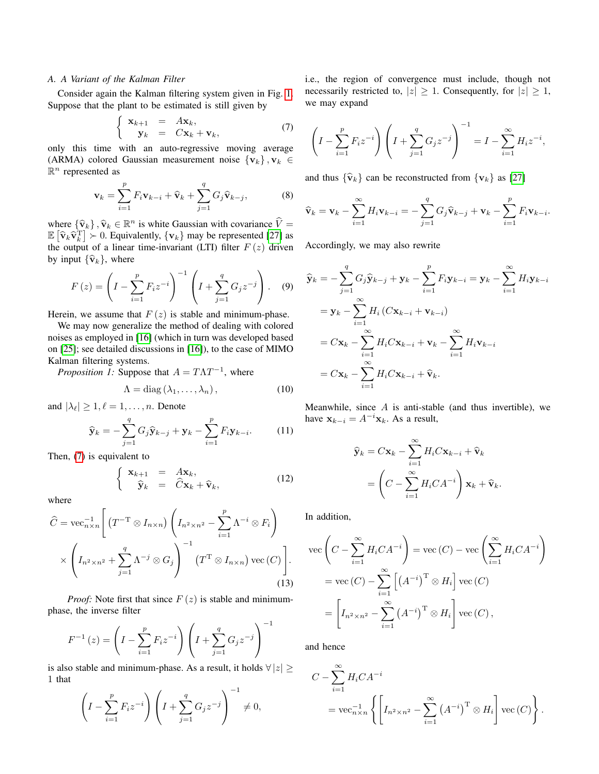## *A. A Variant of the Kalman Filter*

Consider again the Kalman filtering system given in Fig. [1.](#page-1-0) Suppose that the plant to be estimated is still given by

$$
\begin{cases}\n\mathbf{x}_{k+1} = A\mathbf{x}_k, \\
\mathbf{y}_k = C\mathbf{x}_k + \mathbf{v}_k,\n\end{cases} (7)
$$

only this time with an auto-regressive moving average (ARMA) colored Gaussian measurement noise  $\{v_k\}, v_k \in$  $\mathbb{R}^n$  represented as

$$
\mathbf{v}_k = \sum_{i=1}^p F_i \mathbf{v}_{k-i} + \widehat{\mathbf{v}}_k + \sum_{j=1}^q G_j \widehat{\mathbf{v}}_{k-j},
$$
 (8)

where  ${\hat{v}_k}, {\hat{v}_k} \in \mathbb{R}^n$  is white Gaussian with covariance  $\hat{V} =$ <br> $\mathbb{E}[\hat{v}, \hat{v}^T] \geq 0$ . Equivalently,  $\{v_k\}$  may be represented [27] as  $\mathbb{E} \left[ \hat{\mathbf{v}}_k \hat{\mathbf{v}}_k^{\mathrm{T}} \right] \geq 0$ . Equivalently,  $\{ \mathbf{v}_k \}$  may be represented [\[27\]](#page-12-3) as the output of a linear time-invariant (LTI) filter  $F(z)$  driven by input  $\{\widehat{\mathbf{v}}_k\}$ , where

$$
F(z) = \left(I - \sum_{i=1}^{p} F_i z^{-i}\right)^{-1} \left(I + \sum_{j=1}^{q} G_j z^{-j}\right). \tag{9}
$$

Herein, we assume that  $F(z)$  is stable and minimum-phase.

We may now generalize the method of dealing with colored noises as employed in [\[16\]](#page-11-10) (which in turn was developed based on [\[25\]](#page-12-1); see detailed discussions in [\[16\]](#page-11-10)), to the case of MIMO Kalman filtering systems.

<span id="page-2-2"></span>*Proposition 1:* Suppose that  $A = T\Lambda T^{-1}$ , where

$$
\Lambda = \text{diag}(\lambda_1, \dots, \lambda_n), \tag{10}
$$

and  $|\lambda_{\ell}| \geq 1, \ell = 1, \ldots, n$ . Denote

$$
\widehat{\mathbf{y}}_k = -\sum_{j=1}^q G_j \widehat{\mathbf{y}}_{k-j} + \mathbf{y}_k - \sum_{i=1}^p F_i \mathbf{y}_{k-i}.
$$
 (11)

Then, [\(7\)](#page-2-0) is equivalent to

$$
\begin{cases}\n\mathbf{x}_{k+1} = A\mathbf{x}_k, \\
\hat{\mathbf{y}}_k = \hat{C}\mathbf{x}_k + \hat{\mathbf{v}}_k,\n\end{cases}
$$
\n(12)

where

$$
\widehat{C} = \text{vec}_{n \times n}^{-1} \left[ \left( T^{-T} \otimes I_{n \times n} \right) \left( I_{n^2 \times n^2} - \sum_{i=1}^p \Lambda^{-i} \otimes F_i \right) \times \left( I_{n^2 \times n^2} + \sum_{j=1}^q \Lambda^{-j} \otimes G_j \right)^{-1} \left( T^T \otimes I_{n \times n} \right) \text{vec}(C) \right].
$$
\n(13)

*Proof:* Note first that since  $F(z)$  is stable and minimumphase, the inverse filter

$$
F^{-1}(z) = \left(I - \sum_{i=1}^{p} F_i z^{-i}\right) \left(I + \sum_{j=1}^{q} G_j z^{-j}\right)^{-1}
$$

is also stable and minimum-phase. As a result, it holds  $\forall |z| \geq$ 1 that

$$
\left(I - \sum_{i=1}^{p} F_i z^{-i}\right) \left(I + \sum_{j=1}^{q} G_j z^{-j}\right)^{-1} \neq 0,
$$

i.e., the region of convergence must include, though not necessarily restricted to,  $|z| \geq 1$ . Consequently, for  $|z| \geq 1$ , we may expand

<span id="page-2-0"></span>
$$
\left(I - \sum_{i=1}^{p} F_i z^{-i}\right) \left(I + \sum_{j=1}^{q} G_j z^{-j}\right)^{-1} = I - \sum_{i=1}^{\infty} H_i z^{-i},
$$

<span id="page-2-3"></span>and thus  $\{\hat{\mathbf{v}}_k\}$  can be reconstructed from  $\{\mathbf{v}_k\}$  as [\[27\]](#page-12-3)

$$
\widehat{\mathbf{v}}_k = \mathbf{v}_k - \sum_{i=1}^{\infty} H_i \mathbf{v}_{k-i} = -\sum_{j=1}^{q} G_j \widehat{\mathbf{v}}_{k-j} + \mathbf{v}_k - \sum_{i=1}^{p} F_i \mathbf{v}_{k-i}.
$$

Accordingly, we may also rewrite

$$
\hat{\mathbf{y}}_k = -\sum_{j=1}^q G_j \hat{\mathbf{y}}_{k-j} + \mathbf{y}_k - \sum_{i=1}^p F_i \mathbf{y}_{k-i} = \mathbf{y}_k - \sum_{i=1}^\infty H_i \mathbf{y}_{k-i}
$$
\n
$$
= \mathbf{y}_k - \sum_{i=1}^\infty H_i \left( C \mathbf{x}_{k-i} + \mathbf{v}_{k-i} \right)
$$
\n
$$
= C \mathbf{x}_k - \sum_{i=1}^\infty H_i C \mathbf{x}_{k-i} + \mathbf{v}_k - \sum_{i=1}^\infty H_i \mathbf{v}_{k-i}
$$
\n
$$
= C \mathbf{x}_k - \sum_{i=1}^\infty H_i C \mathbf{x}_{k-i} + \hat{\mathbf{v}}_k.
$$

Meanwhile, since  $A$  is anti-stable (and thus invertible), we have  $\mathbf{x}_{k-i} = A^{-i} \mathbf{x}_k$ . As a result,

$$
\widehat{\mathbf{y}}_k = C\mathbf{x}_k - \sum_{i=1}^{\infty} H_i C \mathbf{x}_{k-i} + \widehat{\mathbf{v}}_k
$$

$$
= \left( C - \sum_{i=1}^{\infty} H_i C A^{-i} \right) \mathbf{x}_k + \widehat{\mathbf{v}}_k.
$$

<span id="page-2-1"></span>In addition,

$$
\begin{split} \text{vec}\left(C - \sum_{i=1}^{\infty} H_i C A^{-i}\right) &= \text{vec}\left(C\right) - \text{vec}\left(\sum_{i=1}^{\infty} H_i C A^{-i}\right) \\ &= \text{vec}\left(C\right) - \sum_{i=1}^{\infty} \left[\left(A^{-i}\right)^{\text{T}} \otimes H_i\right] \text{vec}\left(C\right) \\ &= \left[I_{n^2 \times n^2} - \sum_{i=1}^{\infty} \left(A^{-i}\right)^{\text{T}} \otimes H_i\right] \text{vec}\left(C\right), \end{split}
$$

and hence

$$
C - \sum_{i=1}^{\infty} H_i C A^{-i}
$$
  
= 
$$
\text{vec}_{n \times n}^{-1} \left\{ \left[ I_{n^2 \times n^2} - \sum_{i=1}^{\infty} (A^{-i})^{\text{T}} \otimes H_i \right] \text{vec}(C) \right\}.
$$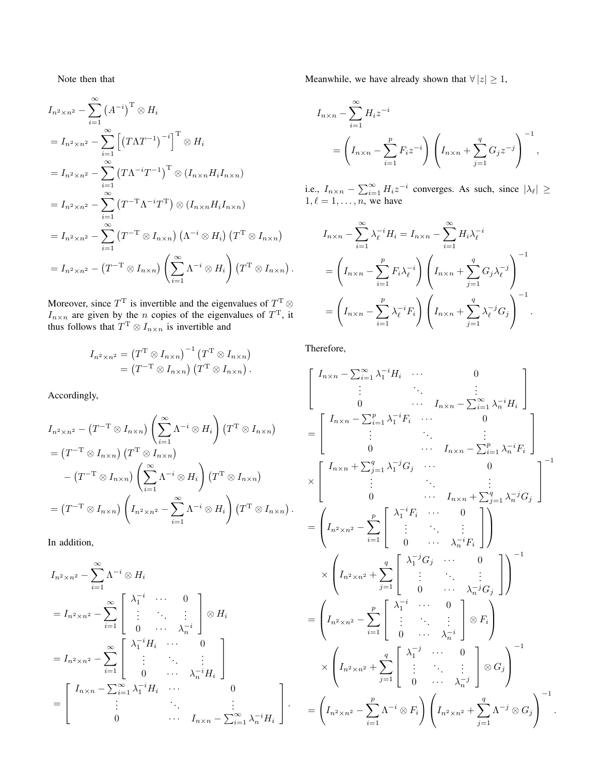Note then that

$$
I_{n^2 \times n^2} - \sum_{i=1}^{\infty} (A^{-i})^{\mathrm{T}} \otimes H_i
$$
  
\n
$$
= I_{n^2 \times n^2} - \sum_{i=1}^{\infty} [(T\Lambda T^{-1})^{-i}]^{\mathrm{T}} \otimes H_i
$$
  
\n
$$
= I_{n^2 \times n^2} - \sum_{i=1}^{\infty} (T\Lambda^{-i}T^{-1})^{\mathrm{T}} \otimes (I_{n \times n}H_iI_{n \times n})
$$
  
\n
$$
= I_{n^2 \times n^2} - \sum_{i=1}^{\infty} (T^{-\mathrm{T}}\Lambda^{-i}T^{\mathrm{T}}) \otimes (I_{n \times n}H_iI_{n \times n})
$$
  
\n
$$
= I_{n^2 \times n^2} - \sum_{i=1}^{\infty} (T^{-\mathrm{T}} \otimes I_{n \times n}) (\Lambda^{-i} \otimes H_i) (T^{\mathrm{T}} \otimes I_{n \times n})
$$
  
\n
$$
= I_{n^2 \times n^2} - (T^{-\mathrm{T}} \otimes I_{n \times n}) (\sum_{i=1}^{\infty} \Lambda^{-i} \otimes H_i) (T^{\mathrm{T}} \otimes I_{n \times n}).
$$

Moreover, since  $T^T$  is invertible and the eigenvalues of  $T^T$   $\otimes$  $I_{n \times n}$  are given by the *n* copies of the eigenvalues of  $T<sup>T</sup>$ , it thus follows that  $T^T \otimes I_{n \times n}$  is invertible and

$$
I_{n^2 \times n^2} = (T^{\mathrm{T}} \otimes I_{n \times n})^{-1} (T^{\mathrm{T}} \otimes I_{n \times n})
$$
  
= 
$$
(T^{-\mathrm{T}} \otimes I_{n \times n}) (T^{\mathrm{T}} \otimes I_{n \times n}).
$$

Accordingly,

$$
I_{n^2 \times n^2} - (T^{-T} \otimes I_{n \times n}) \left( \sum_{i=1}^{\infty} \Lambda^{-i} \otimes H_i \right) (T^T \otimes I_{n \times n})
$$
  
=  $(T^{-T} \otimes I_{n \times n}) (T^T \otimes I_{n \times n})$   
 $- (T^{-T} \otimes I_{n \times n}) \left( \sum_{i=1}^{\infty} \Lambda^{-i} \otimes H_i \right) (T^T \otimes I_{n \times n})$   
=  $(T^{-T} \otimes I_{n \times n}) \left( I_{n^2 \times n^2} - \sum_{i=1}^{\infty} \Lambda^{-i} \otimes H_i \right) (T^T \otimes I_{n \times n})$ 

In addition,

$$
I_{n^2 \times n^2} - \sum_{i=1}^{\infty} \Lambda^{-i} \otimes H_i
$$
  
=  $I_{n^2 \times n^2} - \sum_{i=1}^{\infty} \begin{bmatrix} \lambda_1^{-i} & \cdots & 0 \\ \vdots & \ddots & \vdots \\ 0 & \cdots & \lambda_n^{-i} \end{bmatrix} \otimes H_i$   
=  $I_{n^2 \times n^2} - \sum_{i=1}^{\infty} \begin{bmatrix} \lambda_1^{-i} H_i & \cdots & 0 \\ \vdots & \ddots & \vdots \\ 0 & \cdots & \lambda_n^{-i} H_i \end{bmatrix}$   
=  $\begin{bmatrix} I_{n \times n} - \sum_{i=1}^{\infty} \lambda_1^{-i} H_i & \cdots & 0 \\ \vdots & \ddots & \vdots \\ 0 & \cdots & I_{n \times n} - \sum_{i=1}^{\infty} \lambda_n^{-i} H_i \end{bmatrix}.$ 

Meanwhile, we have already shown that  $\forall |z| \geq 1$ ,

$$
I_{n \times n} - \sum_{i=1}^{\infty} H_i z^{-i}
$$
  
=  $\left( I_{n \times n} - \sum_{i=1}^p F_i z^{-i} \right) \left( I_{n \times n} + \sum_{j=1}^q G_j z^{-j} \right)^{-1}$ ,

i.e.,  $I_{n \times n} - \sum_{i=1}^{\infty} H_i z^{-i}$  converges. As such, since  $|\lambda_{\ell}| \geq$  $1, \ell = 1, \ldots, n$ , we have

$$
I_{n \times n} - \sum_{i=1}^{\infty} \lambda_{\ell}^{-i} H_i = I_{n \times n} - \sum_{i=1}^{\infty} H_i \lambda_{\ell}^{-i}
$$
  
= 
$$
\left(I_{n \times n} - \sum_{i=1}^{p} F_i \lambda_{\ell}^{-i}\right) \left(I_{n \times n} + \sum_{j=1}^{q} G_j \lambda_{\ell}^{-j}\right)^{-1}
$$
  
= 
$$
\left(I_{n \times n} - \sum_{i=1}^{p} \lambda_{\ell}^{-i} F_i\right) \left(I_{n \times n} + \sum_{j=1}^{q} \lambda_{\ell}^{-j} G_j\right)^{-1}.
$$

Therefore,

.

$$
\begin{bmatrix}\nI_{n\times n} - \sum_{i=1}^{\infty} \lambda_1^{-i} H_i & \cdots & 0 \\
\vdots & \ddots & \vdots \\
0 & \cdots & I_{n\times n} - \sum_{i=1}^{\infty} \lambda_n^{-i} H_i\n\end{bmatrix}
$$
\n
$$
= \begin{bmatrix}\nI_{n\times n} - \sum_{i=1}^p \lambda_1^{-i} F_i & \cdots & 0 \\
\vdots & \ddots & \vdots \\
0 & \cdots & I_{n\times n} - \sum_{i=1}^p \lambda_n^{-i} F_i\n\end{bmatrix}
$$
\n
$$
\times \begin{bmatrix}\nI_{n\times n} + \sum_{j=1}^q \lambda_1^{-j} G_j & \cdots & 0 \\
\vdots & \ddots & \vdots \\
0 & \cdots & I_{n\times n} + \sum_{j=1}^q \lambda_n^{-j} G_j\n\end{bmatrix}^{-1}
$$
\n
$$
= \begin{pmatrix}\nI_{n^2 \times n^2} - \sum_{i=1}^p \begin{bmatrix}\n\lambda_1^{-i} F_i & \cdots & 0 \\
\vdots & \ddots & \vdots \\
0 & \cdots & \lambda_n^{-i} F_i\n\end{bmatrix}\n\end{bmatrix}
$$
\n
$$
= \begin{pmatrix}\nI_{n^2 \times n^2} + \sum_{j=1}^q \begin{bmatrix}\n\lambda_1^{-j} G_j & \cdots & 0 \\
\vdots & \ddots & \vdots \\
0 & \cdots & \lambda_n^{-j} G_j\n\end{bmatrix}\n\end{bmatrix}^{-1}
$$
\n
$$
\times \begin{pmatrix}\nI_{n^2 \times n^2} - \sum_{i=1}^p \begin{bmatrix}\n\lambda_1^{-i} & \cdots & 0 \\
\vdots & \ddots & \vdots \\
0 & \cdots & \lambda_n^{-j}\n\end{bmatrix} \otimes G_j\n\end{bmatrix}^{-1}
$$
\n
$$
= \begin{pmatrix}\nI_{n^2 \times n^2} + \sum_{j=1}^q \begin{bmatrix}\n\lambda_1^{-j} & \cdots & 0 \\
\vdots & \ddots & \vdots \\
0 & \cdots & \lambda_n^{-j}\n\end{bmatrix} \otimes G_j\n\end{bmatrix}^{-1}
$$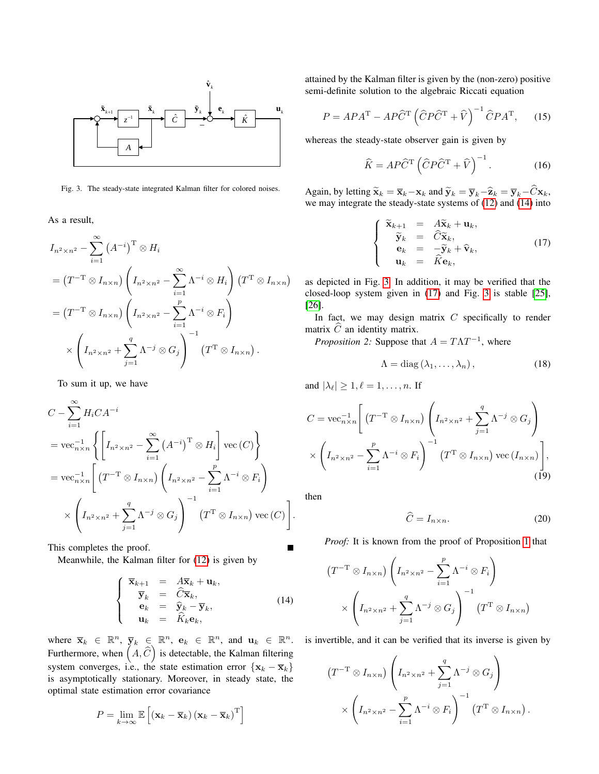

<span id="page-4-1"></span>Fig. 3. The steady-state integrated Kalman filter for colored noises.

As a result,

$$
I_{n^2 \times n^2} - \sum_{i=1}^{\infty} (A^{-i})^{\mathrm{T}} \otimes H_i
$$
  
=  $(T^{-\mathrm{T}} \otimes I_{n \times n}) \left( I_{n^2 \times n^2} - \sum_{i=1}^{\infty} \Lambda^{-i} \otimes H_i \right) (T^{\mathrm{T}} \otimes I_{n \times n})$   
=  $(T^{-\mathrm{T}} \otimes I_{n \times n}) \left( I_{n^2 \times n^2} - \sum_{i=1}^p \Lambda^{-i} \otimes F_i \right)$   
 $\times \left( I_{n^2 \times n^2} + \sum_{j=1}^q \Lambda^{-j} \otimes G_j \right)^{-1} (T^{\mathrm{T}} \otimes I_{n \times n}).$ 

To sum it up, we have

$$
C - \sum_{i=1}^{\infty} H_i C A^{-i}
$$
  
=  $\text{vec}_{n \times n}^{-1} \left\{ \left[ I_{n^2 \times n^2} - \sum_{i=1}^{\infty} (A^{-i})^{\text{T}} \otimes H_i \right] \text{vec}(C) \right\}$   
=  $\text{vec}_{n \times n}^{-1} \left[ (T^{-\text{T}} \otimes I_{n \times n}) \left( I_{n^2 \times n^2} - \sum_{i=1}^p \Lambda^{-i} \otimes F_i \right) \times \left( I_{n^2 \times n^2} + \sum_{j=1}^q \Lambda^{-j} \otimes G_j \right)^{-1} (T^{\text{T}} \otimes I_{n \times n}) \text{vec}(C) \right].$ 

This completes the proof.

Meanwhile, the Kalman filter for [\(12\)](#page-2-1) is given by

$$
\begin{cases}\n\overline{\mathbf{x}}_{k+1} = A\overline{\mathbf{x}}_k + \mathbf{u}_k, \\
\overline{\mathbf{y}}_k = \widehat{C}\overline{\mathbf{x}}_k, \\
\mathbf{e}_k = \widehat{\mathbf{y}}_k - \overline{\mathbf{y}}_k, \\
\mathbf{u}_k = \widehat{K}_k \mathbf{e}_k,\n\end{cases}
$$
\n(14)

where  $\bar{\mathbf{x}}_k \in \mathbb{R}^n$ ,  $\bar{\mathbf{y}}_k \in \mathbb{R}^n$ ,  $\mathbf{e}_k \in \mathbb{R}^n$ , and  $\mathbf{u}_k \in \mathbb{R}^n$ . is invertible, and it can be verified that its inverse is given by Furthermore, when  $(A, \widehat{C})$  is detectable, the Kalman filtering system converges, i.e., the state estimation error  $\{x_k - \overline{x}_k\}$ is asymptotically stationary. Moreover, in steady state, the optimal state estimation error covariance

$$
P = \lim_{k \to \infty} \mathbb{E}\left[\left(\mathbf{x}_k - \overline{\mathbf{x}}_k\right)\left(\mathbf{x}_k - \overline{\mathbf{x}}_k\right)^{\mathrm{T}}\right]
$$

 $\hat{\mathbf{v}}_k$  semi-definite solution to the algebraic Riccati equation attained by the Kalman filter is given by the (non-zero) positive

$$
\hat{K} \longrightarrow^{u_k} P = A P A^{T} - A P \hat{C}^{T} \left( \hat{C} P \hat{C}^{T} + \hat{V} \right)^{-1} \hat{C} P A^{T}, \quad (15)
$$

whereas the steady-state observer gain is given by

<span id="page-4-5"></span><span id="page-4-4"></span>
$$
\hat{K} = AP\hat{C}^{\mathrm{T}} \left( \hat{C}P\hat{C}^{\mathrm{T}} + \hat{V} \right)^{-1}.
$$
 (16)

Again, by letting  $\widetilde{\mathbf{x}}_k = \overline{\mathbf{x}}_k - \mathbf{x}_k$  and  $\widetilde{\mathbf{y}}_k = \overline{\mathbf{y}}_k - \widehat{\mathbf{z}}_k = \overline{\mathbf{y}}_k - \widehat{\mathbf{C}} \mathbf{x}_k$ , we may integrate the steady-state systems of [\(12\)](#page-2-1) and [\(14\)](#page-4-0) into

<span id="page-4-2"></span>
$$
\begin{cases}\n\widetilde{\mathbf{x}}_{k+1} = A\widetilde{\mathbf{x}}_k + \mathbf{u}_k, \\
\widetilde{\mathbf{y}}_k = \widehat{C}\widetilde{\mathbf{x}}_k, \\
\mathbf{e}_k = -\widetilde{\mathbf{y}}_k + \widehat{\mathbf{v}}_k, \\
\mathbf{u}_k = \widehat{K}\mathbf{e}_k,\n\end{cases}
$$
\n(17)

as depicted in Fig. [3.](#page-4-1) In addition, it may be verified that the closed-loop system given in [\(17\)](#page-4-2) and Fig. [3](#page-4-1) is stable [\[25\]](#page-12-1), [\[26\]](#page-12-2).

In fact, we may design matrix  $C$  specifically to render matrix  $C$  an identity matrix.

<span id="page-4-6"></span>*Proposition 2:* Suppose that  $A = T\Lambda T^{-1}$ , where

$$
\Lambda = \text{diag}(\lambda_1, \dots, \lambda_n), \tag{18}
$$

and  $|\lambda_{\ell}| \geq 1, \ell = 1, \ldots, n$ . If

$$
C = \text{vec}_{n \times n}^{-1} \left[ \left( T^{-T} \otimes I_{n \times n} \right) \left( I_{n^2 \times n^2} + \sum_{j=1}^q \Lambda^{-j} \otimes G_j \right) \times \left( I_{n^2 \times n^2} - \sum_{i=1}^p \Lambda^{-i} \otimes F_i \right)^{-1} \left( T^T \otimes I_{n \times n} \right) \text{vec} \left( I_{n \times n} \right) \right],
$$
\n(19)

then

<span id="page-4-3"></span>
$$
\widehat{C} = I_{n \times n}.\tag{20}
$$

*Proof:* It is known from the proof of Proposition [1](#page-2-2) that

$$
(T^{-T} \otimes I_{n \times n}) \left( I_{n^2 \times n^2} - \sum_{i=1}^p \Lambda^{-i} \otimes F_i \right)
$$

$$
\times \left( I_{n^2 \times n^2} + \sum_{j=1}^q \Lambda^{-j} \otimes G_j \right)^{-1} (T^T \otimes I_{n \times n})
$$

<span id="page-4-0"></span>

$$
(T^{-T} \otimes I_{n \times n}) \left( I_{n^2 \times n^2} + \sum_{j=1}^q \Lambda^{-j} \otimes G_j \right) \times \left( I_{n^2 \times n^2} - \sum_{i=1}^p \Lambda^{-i} \otimes F_i \right)^{-1} (T^T \otimes I_{n \times n}).
$$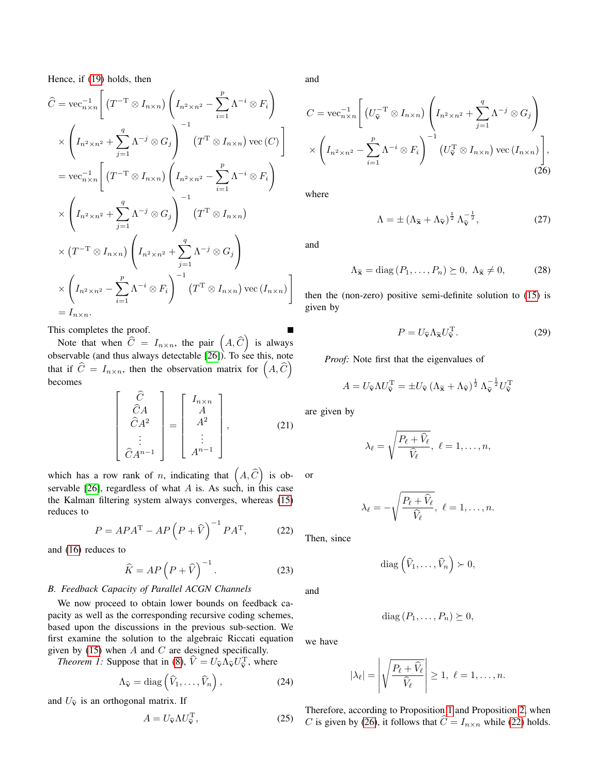Hence, if [\(19\)](#page-4-3) holds, then

$$
\hat{C} = \text{vec}_{n \times n}^{-1} \left[ \left( T^{-T} \otimes I_{n \times n} \right) \left( I_{n^2 \times n^2} - \sum_{i=1}^p \Lambda^{-i} \otimes F_i \right) \right]
$$
  
\n
$$
\times \left( I_{n^2 \times n^2} + \sum_{j=1}^q \Lambda^{-j} \otimes G_j \right)^{-1} \left( T^T \otimes I_{n \times n} \right) \text{vec}(C) \right]
$$
  
\n
$$
= \text{vec}_{n \times n}^{-1} \left[ \left( T^{-T} \otimes I_{n \times n} \right) \left( I_{n^2 \times n^2} - \sum_{i=1}^p \Lambda^{-i} \otimes F_i \right) \right]
$$
  
\n
$$
\times \left( I_{n^2 \times n^2} + \sum_{j=1}^q \Lambda^{-j} \otimes G_j \right)^{-1} \left( T^T \otimes I_{n \times n} \right)
$$
  
\n
$$
\times \left( T^{-T} \otimes I_{n \times n} \right) \left( I_{n^2 \times n^2} + \sum_{j=1}^q \Lambda^{-j} \otimes G_j \right)
$$
  
\n
$$
\times \left( I_{n^2 \times n^2} - \sum_{i=1}^p \Lambda^{-i} \otimes F_i \right)^{-1} \left( T^T \otimes I_{n \times n} \right) \text{vec}(I_{n \times n}) \right)
$$
  
\n
$$
= I_{n \times n}.
$$

This completes the proof.

Note that when  $\hat{C} = I_{n \times n}$ , the pair  $(A, \hat{C})$  is always observable (and thus always detectable [\[26\]](#page-12-2)). To see this, note that if  $\widehat{C} = I_{n \times n}$ , then the observation matrix for  $(A, \widehat{C})$ becomes

$$
\begin{bmatrix}\n\hat{C} \\
\hat{C}A \\
\hat{C}A^2 \\
\vdots \\
\hat{C}A^{n-1}\n\end{bmatrix} =\n\begin{bmatrix}\nI_{n \times n} \\
A \\
A^2 \\
\vdots \\
A^{n-1}\n\end{bmatrix},
$$
\n(21)

which has a row rank of *n*, indicating that  $(A, \widehat{C})$  is observable  $[26]$ , regardless of what A is. As such, in this case the Kalman filtering system always converges, whereas [\(15\)](#page-4-4) reduces to

$$
P = APA^{T} - AP\left(P + \hat{V}\right)^{-1}PA^{T},\qquad(22)
$$

and [\(16\)](#page-4-5) reduces to

$$
\widehat{K} = AP\left(P + \widehat{V}\right)^{-1}.\tag{23}
$$

## *B. Feedback Capacity of Parallel ACGN Channels*

We now proceed to obtain lower bounds on feedback capacity as well as the corresponding recursive coding schemes, based upon the discussions in the previous sub-section. We first examine the solution to the algebraic Riccati equation given by  $(15)$  when A and C are designed specifically.

<span id="page-5-2"></span>*Theorem 1:* Suppose that in [\(8\)](#page-2-3),  $\hat{V} = U_{\hat{v}} \Lambda_{\hat{v}} U_{\hat{v}}^T$ , where

$$
\Lambda_{\widehat{\mathbf{v}}} = \text{diag}\left(\widehat{V}_1, \dots, \widehat{V}_n\right),\tag{24}
$$

and  $U_{\hat{v}}$  is an orthogonal matrix. If

$$
A = U_{\widehat{\mathbf{v}}} \Lambda U_{\widehat{\mathbf{v}}}^{\mathrm{T}},\tag{25}
$$

and

$$
C = \text{vec}_{n \times n}^{-1} \left[ \left( U_{\widehat{\mathbf{v}}}^{-T} \otimes I_{n \times n} \right) \left( I_{n^2 \times n^2} + \sum_{j=1}^q \Lambda^{-j} \otimes G_j \right) \times \left( I_{n^2 \times n^2} - \sum_{i=1}^p \Lambda^{-i} \otimes F_i \right)^{-1} \left( U_{\widehat{\mathbf{v}}}^T \otimes I_{n \times n} \right) \text{vec} \left( I_{n \times n} \right) \right],
$$
\n(26)

where

<span id="page-5-0"></span>
$$
\Lambda = \pm \left( \Lambda_{\widetilde{\mathbf{x}}} + \Lambda_{\widehat{\mathbf{v}}} \right)^{\frac{1}{2}} \Lambda_{\widehat{\mathbf{v}}}^{-\frac{1}{2}},\tag{27}
$$

and

$$
\Lambda_{\widetilde{\mathbf{x}}} = \text{diag}\left(P_1, \dots, P_n\right) \succeq 0, \ \Lambda_{\widetilde{\mathbf{x}}} \neq 0,\tag{28}
$$

then the (non-zero) positive semi-definite solution to [\(15\)](#page-4-4) is given by

$$
P = U_{\widehat{\mathbf{v}}} \Lambda_{\widetilde{\mathbf{x}}} U_{\widehat{\mathbf{v}}}^{\mathrm{T}}.
$$
 (29)

*Proof:* Note first that the eigenvalues of

$$
A = U_{\widehat{\mathbf{v}}} \Lambda U_{\widehat{\mathbf{v}}}^{\mathrm{T}} = \pm U_{\widehat{\mathbf{v}}} \left( \Lambda_{\widetilde{\mathbf{x}}} + \Lambda_{\widehat{\mathbf{v}}} \right)^{\frac{1}{2}} \Lambda_{\widehat{\mathbf{v}}}^{-\frac{1}{2}} U_{\widehat{\mathbf{v}}}^{\mathrm{T}}
$$

are given by

$$
\lambda_{\ell} = \sqrt{\frac{P_{\ell} + \widehat{V}_{\ell}}{\widehat{V}_{\ell}}}, \ \ell = 1, \ldots, n,
$$

or

$$
\lambda_{\ell}=-\sqrt{\frac{P_{\ell}+\widehat{V}_{\ell}}{\widehat{V}_{\ell}}},\ \ell=1,\ldots,n.
$$

<span id="page-5-1"></span>Then, since

diag  $(\widehat{V}_1,\ldots,\widehat{V}_n) \succ 0,$ 

and

$$
diag(P_1,\ldots,P_n)\succeq 0,
$$

we have

$$
|\lambda_{\ell}| = \left| \sqrt{\frac{P_{\ell} + \widehat{V}_{\ell}}{\widehat{V}_{\ell}}} \right| \geq 1, \ \ell = 1, \ldots, n.
$$

Therefore, according to Proposition [1](#page-2-2) and Proposition [2,](#page-4-6) when C is given by [\(26\)](#page-5-0), it follows that  $\hat{C} = I_{n \times n}$  while [\(22\)](#page-5-1) holds.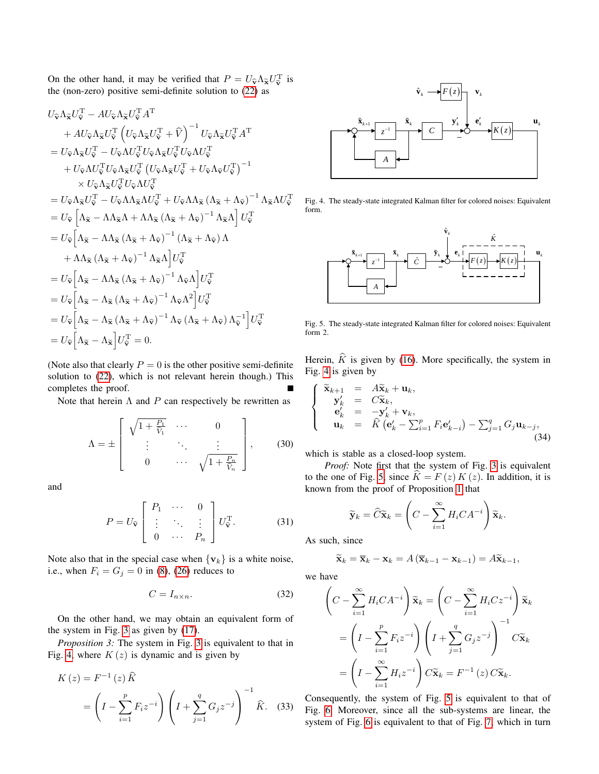On the other hand, it may be verified that  $P = U_{\hat{v}} \Lambda_{\tilde{x}} U_{\hat{v}}^{\mathrm{T}}$  is the (non zero) positive semi-definite solution to (22) as the (non-zero) positive semi-definite solution to [\(22\)](#page-5-1) as

$$
U_{\hat{\mathbf{v}}}\Lambda_{\tilde{\mathbf{x}}}U_{\hat{\mathbf{v}}}^{T}-AU_{\hat{\mathbf{v}}}\Lambda_{\tilde{\mathbf{x}}}U_{\tilde{\mathbf{v}}}^{T}A^{T}
$$
  
+ 
$$
AU_{\hat{\mathbf{v}}}\Lambda_{\tilde{\mathbf{x}}}U_{\tilde{\mathbf{v}}}^{T}\left(U_{\hat{\mathbf{v}}}\Lambda_{\tilde{\mathbf{x}}}U_{\tilde{\mathbf{v}}}^{T}+\hat{V}\right)^{-1}U_{\hat{\mathbf{v}}}\Lambda_{\tilde{\mathbf{x}}}U_{\tilde{\mathbf{v}}}^{T}A^{T}
$$
  
= 
$$
U_{\hat{\mathbf{v}}}\Lambda_{\tilde{\mathbf{x}}}U_{\tilde{\mathbf{v}}}^{T}-U_{\hat{\mathbf{v}}}\Lambda U_{\tilde{\mathbf{v}}}^{T}U_{\hat{\mathbf{v}}}\Lambda_{\tilde{\mathbf{x}}}U_{\tilde{\mathbf{v}}}^{T}U_{\tilde{\mathbf{v}}}\Lambda_{\tilde{\mathbf{x}}}U_{\tilde{\mathbf{v}}}^{T}
$$
  
+ 
$$
U_{\tilde{\mathbf{v}}}\Lambda_{\tilde{\mathbf{x}}}U_{\tilde{\mathbf{v}}}^{T}U_{\tilde{\mathbf{v}}}\Lambda_{\tilde{\mathbf{x}}}U_{\tilde{\mathbf{v}}}^{T}U_{\tilde{\mathbf{v}}}\Lambda_{\tilde{\mathbf{x}}}U_{\tilde{\mathbf{v}}}^{T}+U_{\tilde{\mathbf{v}}}\Lambda_{\tilde{\mathbf{v}}}\tilde{U}_{\tilde{\mathbf{v}}}^{T})^{-1}
$$
  

$$
\times U_{\hat{\mathbf{v}}}\Lambda_{\tilde{\mathbf{x}}}U_{\tilde{\mathbf{v}}}^{T}-U_{\tilde{\mathbf{v}}}\Lambda_{\tilde{\mathbf{x}}}\Lambda U_{\tilde{\mathbf{v}}}^{T}+U_{\tilde{\mathbf{v}}}\Lambda_{\tilde{\mathbf{x}}}\left(\Lambda_{\tilde{\mathbf{x}}}+\Lambda_{\hat{\mathbf{v}}}\right)^{-1}\Lambda_{\tilde{\mathbf{x}}}\Lambda U_{\tilde{\mathbf{v}}}^{T}
$$
  
= 
$$
U_{\hat{\mathbf{v}}}\left[\Lambda_{\tilde{\mathbf{x}}}-\Lambda\Lambda_{\tilde{\mathbf{x}}}\Lambda+\Lambda_{\tilde{\mathbf{x}}}\left(\Lambda_{\tilde{\mathbf{x}}}+\Lambda_{\hat{\mathbf{v}}}\right)^{-1
$$

(Note also that clearly  $P = 0$  is the other positive semi-definite solution to [\(22\)](#page-5-1), which is not relevant herein though.) This completes the proof.

Note that herein  $\Lambda$  and  $P$  can respectively be rewritten as

$$
\Lambda = \pm \left[ \begin{array}{cccc} \sqrt{1 + \frac{P_1}{\widehat{V}_1}} & \cdots & 0 \\ \vdots & \ddots & \vdots \\ 0 & \cdots & \sqrt{1 + \frac{P_n}{\widehat{V}_n}} \end{array} \right], \qquad (30)
$$

and

$$
P = U_{\widehat{\mathbf{v}}} \begin{bmatrix} P_1 & \cdots & 0 \\ \vdots & \ddots & \vdots \\ 0 & \cdots & P_n \end{bmatrix} U_{\widehat{\mathbf{v}}}^{\mathrm{T}}.
$$
 (31)

Note also that in the special case when  $\{v_k\}$  is a white noise, i.e., when  $F_i = G_j = 0$  in [\(8\)](#page-2-3), [\(26\)](#page-5-0) reduces to

$$
C = I_{n \times n}.\tag{32}
$$

On the other hand, we may obtain an equivalent form of the system in Fig. [3](#page-4-1) as given by [\(17\)](#page-4-2).

<span id="page-6-3"></span>*Proposition 3:* The system in Fig. [3](#page-4-1) is equivalent to that in Fig. [4,](#page-6-0) where  $K(z)$  is dynamic and is given by

$$
K(z) = F^{-1}(z)\hat{K}
$$
  
=  $\left(I - \sum_{i=1}^{p} F_i z^{-i}\right) \left(I + \sum_{j=1}^{q} G_j z^{-j}\right)^{-1} \hat{K}$ . (33)



<span id="page-6-0"></span>Fig. 4. The steady-state integrated Kalman filter for colored noises: Equivalent form.



<span id="page-6-1"></span>Fig. 5. The steady-state integrated Kalman filter for colored noises: Equivalent form 2.

Herein,  $\hat{K}$  is given by [\(16\)](#page-4-5). More specifically, the system in Fig. [4](#page-6-0) is given by

$$
\begin{cases}\n\widetilde{\mathbf{x}}_{k+1} = A\widetilde{\mathbf{x}}_k + \mathbf{u}_k, \\
\mathbf{y}'_k = C\widetilde{\mathbf{x}}_k, \\
\mathbf{e}'_k = -\mathbf{y}'_k + \mathbf{v}_k, \\
\mathbf{u}_k = \widehat{K}(\mathbf{e}'_k - \sum_{i=1}^p F_i \mathbf{e}'_{k-i}) - \sum_{j=1}^q G_j \mathbf{u}_{k-j},\n\end{cases} (34)
$$

which is stable as a closed-loop system.

*Proof:* Note first that the system of Fig. [3](#page-4-1) is equivalent to the one of Fig. [5,](#page-6-1) since  $\ddot{K} = F (z) K (z)$ . In addition, it is known from the proof of Proposition [1](#page-2-2) that

<span id="page-6-2"></span>
$$
\widetilde{\mathbf{y}}_k = \widehat{C}\widetilde{\mathbf{x}}_k = \left(C - \sum_{i=1}^{\infty} H_i C A^{-i}\right) \widetilde{\mathbf{x}}_k.
$$

As such, since

$$
\widetilde{\mathbf{x}}_k = \overline{\mathbf{x}}_k - \mathbf{x}_k = A\left(\overline{\mathbf{x}}_{k-1} - \mathbf{x}_{k-1}\right) = A\widetilde{\mathbf{x}}_{k-1},
$$

we have

$$
\left(C - \sum_{i=1}^{\infty} H_i C A^{-i}\right) \widetilde{\mathbf{x}}_k = \left(C - \sum_{i=1}^{\infty} H_i C z^{-i}\right) \widetilde{\mathbf{x}}_k
$$

$$
= \left(I - \sum_{i=1}^p F_i z^{-i}\right) \left(I + \sum_{j=1}^q G_j z^{-j}\right)^{-1} C \widetilde{\mathbf{x}}_k
$$

$$
= \left(I - \sum_{i=1}^{\infty} H_i z^{-i}\right) C \widetilde{\mathbf{x}}_k = F^{-1}(z) C \widetilde{\mathbf{x}}_k.
$$

Consequently, the system of Fig. [5](#page-6-1) is equivalent to that of Fig. [6.](#page-7-0) Moreover, since all the sub-systems are linear, the system of Fig. [6](#page-7-0) is equivalent to that of Fig. [7,](#page-7-1) which in turn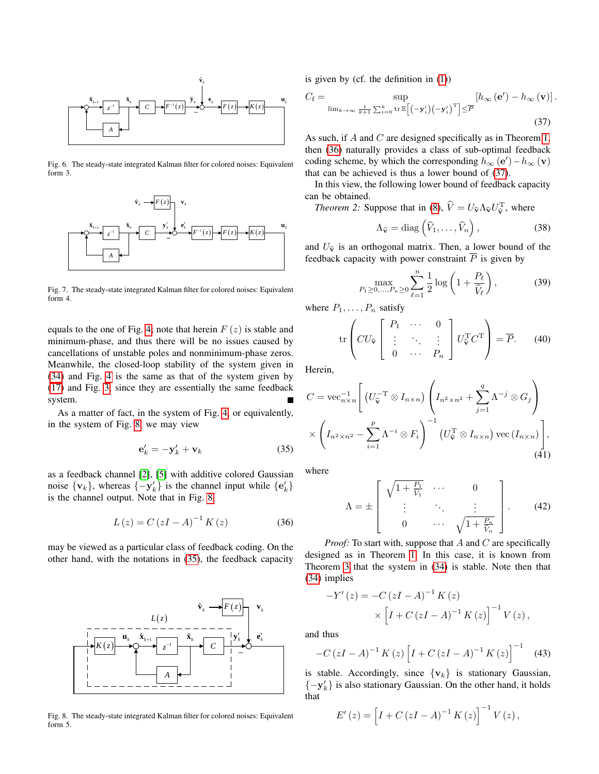

Fig. 6. The steady-state integrated Kalman filter for colored noises: Equivalent form 3.

<span id="page-7-0"></span>

<span id="page-7-1"></span>Fig. 7. The steady-state integrated Kalman filter for colored noises: Equivalent form 4.

equals to the one of Fig. [4;](#page-6-0) note that herein  $F(z)$  is stable and minimum-phase, and thus there will be no issues caused by cancellations of unstable poles and nonminimum-phase zeros. Meanwhile, the closed-loop stability of the system given in [\(34\)](#page-6-2) and Fig. [4](#page-6-0) is the same as that of the system given by [\(17\)](#page-4-2) and Fig. [3,](#page-4-1) since they are essentially the same feedback system.

As a matter of fact, in the system of Fig. [4,](#page-6-0) or equivalently, in the system of Fig. [8,](#page-7-2) we may view

$$
\mathbf{e}'_k = -\mathbf{y}'_k + \mathbf{v}_k \tag{35}
$$

as a feedback channel [\[2\]](#page-11-1), [\[5\]](#page-11-4) with additive colored Gaussian noise  $\{v_k\}$ , whereas  $\{-y'_k\}$  is the channel input while  $\{e'_k\}$ is the channel output. Note that in Fig. [8,](#page-7-2)

$$
L(z) = C (zI - A)^{-1} K(z)
$$
 (36)

may be viewed as a particular class of feedback coding. On the other hand, with the notations in [\(35\)](#page-7-3), the feedback capacity



<span id="page-7-2"></span>Fig. 8. The steady-state integrated Kalman filter for colored noises: Equivalent form 5.

 $\hat{\mathbf{v}}_k$  is given by (cf. the definition in [\(1\)](#page-0-0))

$$
C_{\mathbf{f}} = \sup_{\lim_{k \to \infty} \frac{1}{k+1} \sum_{i=0}^{k} \text{tr}\,\mathbb{E}\left[\left(-\mathbf{y}_{i}'\right)\left(-\mathbf{y}_{i}'\right)^{\mathrm{T}}\right] \leq \overline{P}} \left[h_{\infty}\left(\mathbf{e}'\right) - h_{\infty}\left(\mathbf{v}\right)\right].
$$
\n(37)

As such, if  $A$  and  $C$  are designed specifically as in Theorem [1,](#page-5-2) then [\(36\)](#page-7-4) naturally provides a class of sub-optimal feedback coding scheme, by which the corresponding  $h_{\infty}(\mathbf{e}') - h_{\infty}(\mathbf{v})$ that can be achieved is thus a lower bound of [\(37\)](#page-7-5).

In this view, the following lower bound of feedback capacity can be obtained.

<span id="page-7-7"></span>

<span id="page-7-6"></span><span id="page-7-5"></span>
$$
\Lambda_{\widehat{\mathbf{v}}} = \text{diag}\left(\widehat{V}_1, \dots, \widehat{V}_n\right),\tag{38}
$$

and  $U_{\hat{v}}$  is an orthogonal matrix. Then, a lower bound of the feedback capacity with power constraint  $\overline{P}$  is given by

$$
\max_{P_1 \ge 0,\dots,P_n \ge 0} \sum_{\ell=1}^n \frac{1}{2} \log \left( 1 + \frac{P_\ell}{\widehat{V}_\ell} \right),\tag{39}
$$

where  $P_1, \ldots, P_n$  satisfy

$$
\operatorname{tr}\left(CU_{\widehat{\mathbf{v}}}\left[\begin{array}{ccc} P_1 & \cdots & 0 \\ \vdots & \ddots & \vdots \\ 0 & \cdots & P_n \end{array}\right]U_{\widehat{\mathbf{v}}}^{\mathrm{T}}C^{\mathrm{T}}\right) = \overline{P}.\qquad(40)
$$

Herein,

$$
C = \text{vec}_{n \times n}^{-1} \left[ \left( U_{\widehat{\mathbf{v}}}^{-T} \otimes I_{n \times n} \right) \left( I_{n^2 \times n^2} + \sum_{j=1}^q \Lambda^{-j} \otimes G_j \right) \times \left( I_{n^2 \times n^2} - \sum_{i=1}^p \Lambda^{-i} \otimes F_i \right)^{-1} \left( U_{\widehat{\mathbf{v}}}^{-T} \otimes I_{n \times n} \right) \text{vec} \left( I_{n \times n} \right) \right],
$$
\n
$$
(41)
$$

<span id="page-7-3"></span>where

<span id="page-7-8"></span>
$$
\Lambda = \pm \left[ \begin{array}{ccc} \sqrt{1 + \frac{P_1}{\hat{V}_1}} & \cdots & 0 \\ \vdots & \ddots & \vdots \\ 0 & \cdots & \sqrt{1 + \frac{P_n}{\hat{V}_n}} \end{array} \right].
$$
 (42)

<span id="page-7-4"></span>*Proof:* To start with, suppose that A and C are specifically designed as in Theorem [1.](#page-5-2) In this case, it is known from Theorem [3](#page-6-3) that the system in [\(34\)](#page-6-2) is stable. Note then that [\(34\)](#page-6-2) implies

$$
-Y'(z) = -C(zI - A)^{-1} K(z)
$$
  
 
$$
\times \left[ I + C(zI - A)^{-1} K(z) \right]^{-1} V(z),
$$

$$
-C(zI - A)^{-1} K(z) [I + C(zI - A)^{-1} K(z)]^{-1}
$$
 (43)

*A* **i** is stable. Accordingly, since  $\{v_k\}$  is stationary Gaussian,  ${-y'_k}$  is also stationary Gaussian. On the other hand, it holds that

$$
E'(z) = [I + C (zI - A)^{-1} K(z)]^{-1} V(z),
$$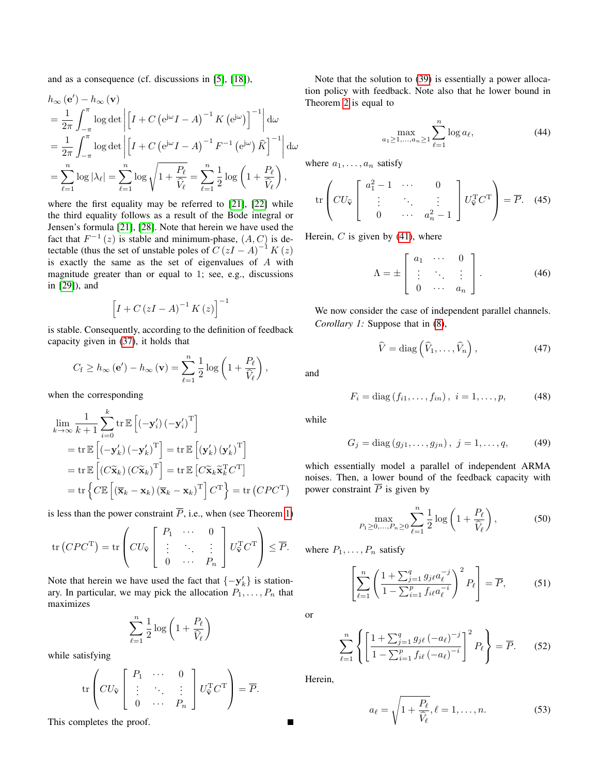and as a consequence (cf. discussions in [\[5\]](#page-11-4), [\[18\]](#page-11-11)),

$$
h_{\infty}(\mathbf{e}') - h_{\infty}(\mathbf{v})
$$
  
=  $\frac{1}{2\pi} \int_{-\pi}^{\pi} \log \det \left| \left[ I + C \left( e^{j\omega} I - A \right)^{-1} K \left( e^{j\omega} \right) \right]^{-1} \right| d\omega$   
=  $\frac{1}{2\pi} \int_{-\pi}^{\pi} \log \det \left| \left[ I + C \left( e^{j\omega} I - A \right)^{-1} F^{-1} \left( e^{j\omega} \right) \hat{K} \right]^{-1} \right| d\omega$   
=  $\sum_{\ell=1}^{n} \log |\lambda_{\ell}| = \sum_{\ell=1}^{n} \log \sqrt{1 + \frac{P_{\ell}}{\hat{V}_{\ell}}} = \sum_{\ell=1}^{n} \frac{1}{2} \log \left( 1 + \frac{P_{\ell}}{\hat{V}_{\ell}} \right),$ 

where the first equality may be referred to [\[21\]](#page-11-13), [\[22\]](#page-11-14) while the third equality follows as a result of the Bode integral or Jensen's formula [\[21\]](#page-11-13), [\[28\]](#page-12-4). Note that herein we have used the fact that  $F^{-1}(z)$  is stable and minimum-phase,  $(A, C)$  is detectable (thus the set of unstable poles of  $C (zI - A)^{-1} K (z)$ is exactly the same as the set of eigenvalues of  $A$  with magnitude greater than or equal to 1; see, e.g., discussions in [\[29\]](#page-12-5)), and

$$
\left[I + C\left(zI - A\right)^{-1} K\left(z\right)\right]^{-1}
$$

is stable. Consequently, according to the definition of feedback capacity given in [\(37\)](#page-7-5), it holds that

$$
C_{\rm f} \ge h_{\infty}(\mathbf{e}') - h_{\infty}(\mathbf{v}) = \sum_{\ell=1}^{n} \frac{1}{2} \log \left( 1 + \frac{P_{\ell}}{\widehat{V}_{\ell}} \right),
$$

when the corresponding

$$
\lim_{k \to \infty} \frac{1}{k+1} \sum_{i=0}^{k} \operatorname{tr} \mathbb{E} \left[ \left( -\mathbf{y}'_i \right) \left( -\mathbf{y}'_i \right)^{\mathrm{T}} \right]
$$
\n
$$
= \operatorname{tr} \mathbb{E} \left[ \left( -\mathbf{y}'_k \right) \left( -\mathbf{y}'_k \right)^{\mathrm{T}} \right] = \operatorname{tr} \mathbb{E} \left[ \left( \mathbf{y}'_k \right) \left( \mathbf{y}'_k \right)^{\mathrm{T}} \right]
$$
\n
$$
= \operatorname{tr} \mathbb{E} \left[ \left( C \widetilde{\mathbf{x}}_k \right) \left( C \widetilde{\mathbf{x}}_k \right)^{\mathrm{T}} \right] = \operatorname{tr} \mathbb{E} \left[ C \widetilde{\mathbf{x}}_k \widetilde{\mathbf{x}}_k^{\mathrm{T}} C^{\mathrm{T}} \right]
$$
\n
$$
= \operatorname{tr} \left\{ C \mathbb{E} \left[ \left( \overline{\mathbf{x}}_k - \mathbf{x}_k \right) \left( \overline{\mathbf{x}}_k - \mathbf{x}_k \right)^{\mathrm{T}} \right] C^{\mathrm{T}} \right\} = \operatorname{tr} \left( C P C^{\mathrm{T}} \right)
$$

is less than the power constraint  $\overline{P}$ , i.e., when (see Theorem [1\)](#page-8-0)

$$
\operatorname{tr}\left(CPC^{\mathrm{T}}\right) = \operatorname{tr}\left(CU_{\widehat{\mathbf{v}}}\left[\begin{array}{ccc} P_1 & \cdots & 0 \\ \vdots & \ddots & \vdots \\ 0 & \cdots & P_n \end{array}\right]U_{\widehat{\mathbf{v}}}^{\mathrm{T}}C^{\mathrm{T}}\right) \leq \overline{P}.
$$

Note that herein we have used the fact that  $\{-y'_k\}$  is stationary. In particular, we may pick the allocation  $P_1, \ldots, P_n$  that maximizes

$$
\sum_{\ell=1}^n \frac{1}{2} \log \left(1+\frac{P_\ell}{\widehat{V}_\ell}\right)
$$

while satisfying

$$
\operatorname{tr}\left(CU_{\widehat{\mathbf{v}}}\left[\begin{array}{ccc} P_1 & \cdots & 0 \\ \vdots & \ddots & \vdots \\ 0 & \cdots & P_n \end{array}\right]U_{\widehat{\mathbf{v}}}^{\mathrm{T}}C^{\mathrm{T}}\right) = \overline{P}.
$$

This completes the proof.

Note that the solution to [\(39\)](#page-7-6) is essentially a power allocation policy with feedback. Note also that he lower bound in Theorem [2](#page-7-7) is equal to

$$
\max_{a_1 \ge 1, ..., a_n \ge 1} \sum_{\ell=1}^n \log a_\ell, \tag{44}
$$

where  $a_1, \ldots, a_n$  satisfy

$$
\operatorname{tr}\left(CU_{\widehat{\mathbf{v}}}\left[\begin{array}{ccc}a_1^2-1 & \cdots & 0\\ \vdots & \ddots & \vdots\\ 0 & \cdots & a_n^2-1\end{array}\right]U_{\widehat{\mathbf{v}}}^{\mathrm{T}}C^{\mathrm{T}}\right) = \overline{P}.\quad(45)
$$

Herein,  $C$  is given by [\(41\)](#page-7-8), where

$$
\Lambda = \pm \left[ \begin{array}{ccc} a_1 & \cdots & 0 \\ \vdots & \ddots & \vdots \\ 0 & \cdots & a_n \end{array} \right]. \tag{46}
$$

<span id="page-8-0"></span>We now consider the case of independent parallel channels. *Corollary 1:* Suppose that in [\(8\)](#page-2-3),

$$
\widehat{V} = \text{diag}\left(\widehat{V}_1, \dots, \widehat{V}_n\right),\tag{47}
$$

and

$$
F_i = \text{diag}(f_{i1}, \dots, f_{in}), \ i = 1, \dots, p,
$$
 (48)

while

$$
G_j = \text{diag}(g_{j1}, \dots, g_{jn}), \ j = 1, \dots, q,
$$
 (49)

which essentially model a parallel of independent ARMA noises. Then, a lower bound of the feedback capacity with power constraint  $\overline{P}$  is given by

$$
\max_{P_1 \ge 0, ..., P_n \ge 0} \sum_{\ell=1}^n \frac{1}{2} \log \left( 1 + \frac{P_\ell}{\widehat{V}_\ell} \right),\tag{50}
$$

where  $P_1, \ldots, P_n$  satisfy

$$
\left[\sum_{\ell=1}^{n} \left(\frac{1+\sum_{j=1}^{q} g_{j\ell} a_{\ell}^{-j}}{1-\sum_{i=1}^{p} f_{i\ell} a_{\ell}^{-i}}\right)^{2} P_{\ell}\right] = \overline{P},\tag{51}
$$

or

$$
\sum_{\ell=1}^{n} \left\{ \left[ \frac{1 + \sum_{j=1}^{q} g_{j\ell} (-a_{\ell})^{-j}}{1 - \sum_{i=1}^{p} f_{i\ell} (-a_{\ell})^{-i}} \right]^{2} P_{\ell} \right\} = \overline{P}.
$$
 (52)

Herein,

<span id="page-8-1"></span>
$$
a_{\ell} = \sqrt{1 + \frac{P_{\ell}}{\widehat{V}_{\ell}}}, \ell = 1, \dots, n.
$$
 (53)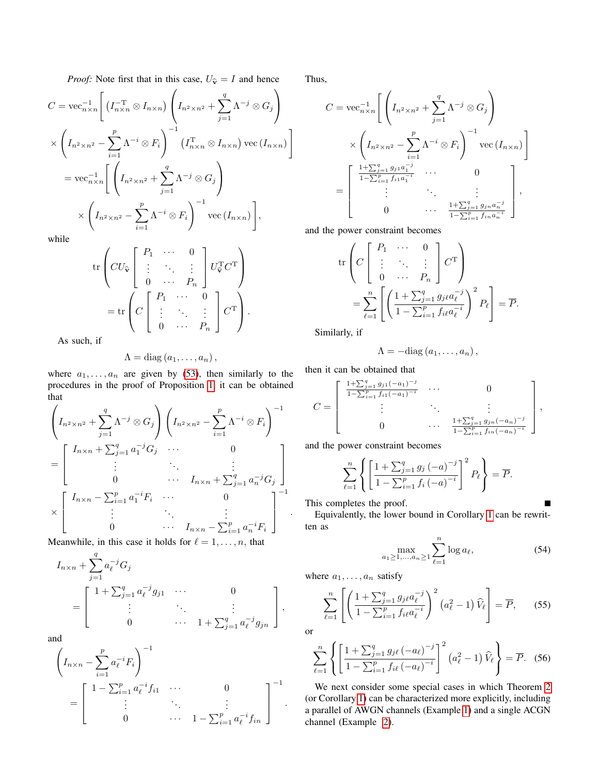*Proof:* Note first that in this case,  $U_{\hat{v}} = I$  and hence

$$
C = \text{vec}_{n \times n}^{-1} \left[ \left( I_{n \times n}^{-T} \otimes I_{n \times n} \right) \left( I_{n^2 \times n^2} + \sum_{j=1}^q \Lambda^{-j} \otimes G_j \right) \right]
$$
  
 
$$
\times \left( I_{n^2 \times n^2} - \sum_{i=1}^p \Lambda^{-i} \otimes F_i \right)^{-1} \left( I_{n \times n}^{\mathsf{T}} \otimes I_{n \times n} \right) \text{vec} \left( I_{n \times n} \right)
$$
  

$$
= \text{vec}_{n \times n}^{-1} \left[ \left( I_{n^2 \times n^2} + \sum_{j=1}^q \Lambda^{-j} \otimes G_j \right) \right]
$$
  

$$
\times \left( I_{n^2 \times n^2} - \sum_{i=1}^p \Lambda^{-i} \otimes F_i \right)^{-1} \text{vec} \left( I_{n \times n} \right) \right],
$$

while

$$
\operatorname{tr}\left(CU_{\widehat{\mathbf{v}}}\left[\begin{array}{ccc} P_1 & \cdots & 0 \\ \vdots & \ddots & \vdots \\ 0 & \cdots & P_n \end{array}\right]U_{\widehat{\mathbf{v}}}^{\mathrm{T}}C^{\mathrm{T}}\right) = \operatorname{tr}\left(C\left[\begin{array}{ccc} P_1 & \cdots & 0 \\ \vdots & \ddots & \vdots \\ 0 & \cdots & P_n \end{array}\right]C^{\mathrm{T}}\right).
$$

As such, if

$$
\Lambda = \mathrm{diag}\left(a_1,\ldots,a_n\right),\,
$$

where  $a_1, \ldots, a_n$  are given by [\(53\)](#page-8-1), then similarly to the procedures in the proof of Proposition [1,](#page-2-2) it can be obtained that

$$
\left(I_{n^2 \times n^2} + \sum_{j=1}^q \Lambda^{-j} \otimes G_j\right) \left(I_{n^2 \times n^2} - \sum_{i=1}^p \Lambda^{-i} \otimes F_i\right)^{-1}
$$
\n
$$
= \begin{bmatrix}\nI_{n \times n} + \sum_{j=1}^q a_1^{-j} G_j & \cdots & 0 \\
\vdots & \ddots & \vdots \\
0 & \cdots & I_{n \times n} + \sum_{j=1}^q a_n^{-j} G_j\n\end{bmatrix}
$$
\n
$$
\times \begin{bmatrix}\nI_{n \times n} - \sum_{i=1}^p a_1^{-i} F_i & \cdots & 0 \\
\vdots & \ddots & \vdots \\
0 & \cdots & I_{n \times n} - \sum_{i=1}^p a_n^{-i} F_i\n\end{bmatrix}^{-1}.
$$

Meanwhile, in this case it holds for  $\ell = 1, \ldots, n$ , that

$$
I_{n \times n} + \sum_{j=1}^{q} a_{\ell}^{-j} G_j
$$
  
= 
$$
\begin{bmatrix} 1 + \sum_{j=1}^{q} a_{\ell}^{-j} g_{j1} & \cdots & 0 \\ \vdots & \ddots & \vdots \\ 0 & \cdots & 1 + \sum_{j=1}^{q} a_{\ell}^{-j} g_{jn} \end{bmatrix},
$$

and

$$
\left(I_{n \times n} - \sum_{i=1}^{p} a_{\ell}^{-i} F_i\right)^{-1}
$$
\n
$$
= \begin{bmatrix}\n1 - \sum_{i=1}^{p} a_{\ell}^{-i} f_{i1} & \cdots & 0 \\
\vdots & \ddots & \vdots \\
0 & \cdots & 1 - \sum_{i=1}^{p} a_{\ell}^{-i} f_{in}\n\end{bmatrix}^{-1}.
$$

Thus,

$$
C = \text{vec}_{n \times n}^{-1} \left[ \left( I_{n^2 \times n^2} + \sum_{j=1}^q \Lambda^{-j} \otimes G_j \right) \times \left( I_{n^2 \times n^2} - \sum_{i=1}^p \Lambda^{-i} \otimes F_i \right)^{-1} \text{vec}(I_{n \times n}) \right]
$$
  
= 
$$
\begin{bmatrix} \frac{1 + \sum_{j=1}^q g_{j1} a_1^{-j}}{1 - \sum_{i=1}^p f_{i1} a_1^{-i}} & \cdots & 0 \\ \vdots & \ddots & \vdots \\ 0 & \cdots & \frac{1 + \sum_{j=1}^q g_{j1} a_n^{-j}}{1 - \sum_{i=1}^p f_{i1} a_n^{-i}} \end{bmatrix},
$$

and the power constraint becomes

$$
\operatorname{tr}\left(C\left[\begin{array}{ccc} P_1 & \cdots & 0 \\ \vdots & \ddots & \vdots \\ 0 & \cdots & P_n \end{array}\right] C^{\mathrm{T}}\right)
$$
\n
$$
= \sum_{\ell=1}^n \left[ \left(\frac{1 + \sum_{j=1}^q g_j \ell a_\ell^{-j}}{1 - \sum_{i=1}^n f_i \ell a_\ell^{-i}}\right)^2 P_\ell \right] = \overline{P}.
$$

Similarly, if

$$
\Lambda = -\mathrm{diag}\left(a_1,\ldots,a_n\right),\,
$$

then it can be obtained that

$$
C = \begin{bmatrix} \frac{1+\sum_{j=1}^{q} g_{j1}(-a_1)^{-j}}{1-\sum_{i=1}^{p} f_{i1}(-a_1)^{-i}} & \cdots & 0 \\ \vdots & \ddots & \vdots \\ 0 & \cdots & \frac{1+\sum_{j=1}^{q} g_{jn}(-a_n)^{-j}}{1-\sum_{i=1}^{p} f_{in}(-a_n)^{-i}} \end{bmatrix},
$$

and the power constraint becomes

$$
\sum_{\ell=1}^{n} \left\{ \left[ \frac{1 + \sum_{j=1}^{q} g_j (-a)^{-j}}{1 - \sum_{i=1}^{p} f_i (-a)^{-i}} \right]^2 P_{\ell} \right\} = \overline{P}.
$$

This completes the proof.

Equivalently, the lower bound in Corollary [1](#page-8-0) can be rewritten as

$$
\max_{a_1 \ge 1,\dots,a_n \ge 1} \sum_{\ell=1}^n \log a_\ell,\tag{54}
$$

 $\blacksquare$ 

where  $a_1, \ldots, a_n$  satisfy

$$
\sum_{\ell=1}^{n} \left[ \left( \frac{1 + \sum_{j=1}^{q} g_{j\ell} a_{\ell}^{-j}}{1 - \sum_{i=1}^{p} f_{i\ell} a_{\ell}^{-i}} \right)^2 (a_{\ell}^2 - 1) \widehat{V}_{\ell} \right] = \overline{P}, \qquad (55)
$$

or

$$
\sum_{\ell=1}^{n} \left\{ \left[ \frac{1 + \sum_{j=1}^{q} g_{j\ell} (-a_{\ell})^{-j}}{1 - \sum_{i=1}^{p} f_{i\ell} (-a_{\ell})^{-i}} \right]^{2} (a_{\ell}^{2} - 1) \widehat{V}_{\ell} \right\} = \overline{P}. \quad (56)
$$

<span id="page-9-0"></span>We next consider some special cases in which Theorem [2](#page-7-7) (or Corollary [1\)](#page-8-0) can be characterized more explicitly, including a parallel of AWGN channels (Example [1\)](#page-9-0) and a single ACGN channel (Example [2\)](#page-10-0).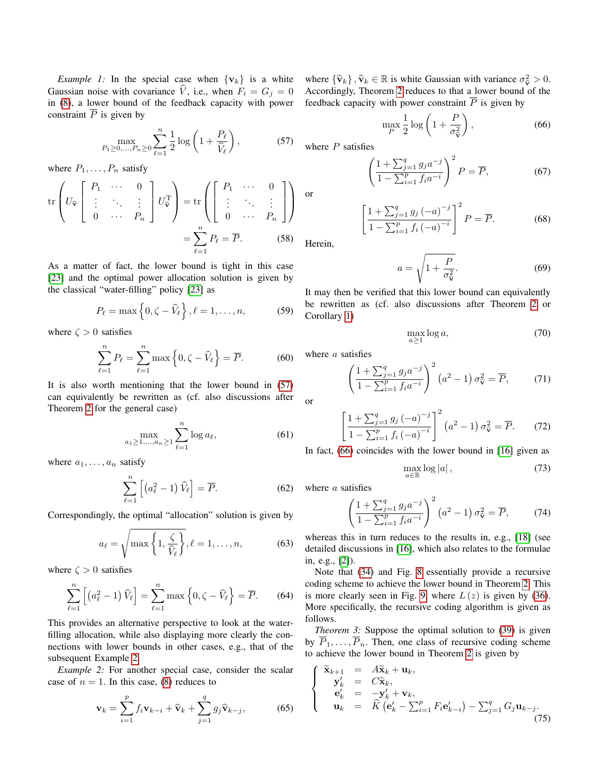*Example 1:* In the special case when  $\{v_k\}$  is a white Gaussian noise with covariance  $\hat{V}$ , i.e., when  $F_i = G_j = 0$ in [\(8\)](#page-2-3), a lower bound of the feedback capacity with power constraint  $\overline{P}$  is given by

$$
\max_{P_1 \ge 0, ..., P_n \ge 0} \sum_{\ell=1}^n \frac{1}{2} \log \left( 1 + \frac{P_\ell}{\hat{V}_\ell} \right),\tag{57}
$$

where  $P_1, \ldots, P_n$  satisfy

$$
\operatorname{tr}\left(U_{\widehat{\mathbf{v}}}\left[\begin{array}{ccc} P_1 & \cdots & 0 \\ \vdots & \ddots & \vdots \\ 0 & \cdots & P_n \end{array}\right]U_{\widehat{\mathbf{v}}}^{\mathrm{T}}\right) = \operatorname{tr}\left(\left[\begin{array}{ccc} P_1 & \cdots & 0 \\ \vdots & \ddots & \vdots \\ 0 & \cdots & P_n \end{array}\right]\right)
$$

$$
= \sum_{\ell=1}^n P_\ell = \overline{P}.\tag{58}
$$

As a matter of fact, the lower bound is tight in this case [\[23\]](#page-11-15) and the optimal power allocation solution is given by the classical "water-filling" policy [\[23\]](#page-11-15) as

$$
P_{\ell} = \max\left\{0, \zeta - \widehat{V}_{\ell}\right\}, \ell = 1, \ldots, n,
$$
 (59)

where  $\zeta > 0$  satisfies

$$
\sum_{\ell=1}^{n} P_{\ell} = \sum_{\ell=1}^{n} \max\left\{0, \zeta - \widehat{V}_{\ell}\right\} = \overline{P}.
$$
 (60)

It is also worth mentioning that the lower bound in [\(57\)](#page-10-1) can equivalently be rewritten as (cf. also discussions after Theorem [2](#page-7-7) for the general case)

$$
\max_{a_1 \ge 1, ..., a_n \ge 1} \sum_{\ell=1}^n \log a_\ell, \tag{61}
$$

where  $a_1, \ldots, a_n$  satisfy

$$
\sum_{\ell=1}^{n} \left[ \left( a_{\ell}^{2} - 1 \right) \widehat{V}_{\ell} \right] = \overline{P}.
$$
 (62)

Correspondingly, the optimal "allocation" solution is given by

$$
a_{\ell} = \sqrt{\max\left\{1, \frac{\zeta}{\widehat{V}_{\ell}}\right\}}, \ell = 1, \dots, n,
$$
 (63)

where  $\zeta > 0$  satisfies

$$
\sum_{\ell=1}^{n} \left[ \left( a_{\ell}^{2} - 1 \right) \widehat{V}_{\ell} \right] = \sum_{\ell=1}^{n} \max \left\{ 0, \zeta - \widehat{V}_{\ell} \right\} = \overline{P}.
$$
 (64)

This provides an alternative perspective to look at the waterfilling allocation, while also displaying more clearly the connections with lower bounds in other cases, e.g., that of the subsequent Example [2.](#page-10-0)

<span id="page-10-0"></span>*Example 2:* For another special case, consider the scalar case of  $n = 1$ . In this case, [\(8\)](#page-2-3) reduces to

$$
\mathbf{v}_k = \sum_{i=1}^p f_i \mathbf{v}_{k-i} + \widehat{\mathbf{v}}_k + \sum_{j=1}^q g_j \widehat{\mathbf{v}}_{k-j},
$$
(65)

where  ${\hat{\mathbf{v}}_k}, \hat{\mathbf{v}}_k \in \mathbb{R}$  is white Gaussian with variance  $\sigma_v^2 > 0$ .<br>Accordingly Theorem 2 reduces to that a lower bound of the Accordingly, Theorem [2](#page-7-7) reduces to that a lower bound of the feedback capacity with power constraint  $\overline{P}$  is given by

<span id="page-10-2"></span>
$$
\max_{P} \frac{1}{2} \log \left( 1 + \frac{P}{\sigma_{\hat{\mathbf{v}}}} \right),\tag{66}
$$

<span id="page-10-1"></span>where  $P$  satisfies

$$
\left(\frac{1+\sum_{j=1}^{q}g_{j}a^{-j}}{1-\sum_{i=1}^{p}f_{i}a^{-i}}\right)^{2}P=\overline{P},\tag{67}
$$

$$
\left[\frac{1+\sum_{j=1}^{q} g_j(-a)^{-j}}{1-\sum_{i=1}^{p} f_i(-a)^{-i}}\right]^2 P = \overline{P}.
$$
 (68)

Herein,

or

$$
a = \sqrt{1 + \frac{P}{\sigma_{\hat{\mathbf{v}}}^2}}.\tag{69}
$$

It may then be verified that this lower bound can equivalently be rewritten as (cf. also discussions after Theorem [2](#page-7-7) or Corollary [1\)](#page-8-0)

$$
\max_{a \ge 1} \log a,\tag{70}
$$

where a satisfies

$$
\left(\frac{1+\sum_{j=1}^{q} g_j a^{-j}}{1-\sum_{i=1}^{p} f_i a^{-i}}\right)^2 \left(a^2-1\right) \sigma_{\widehat{\mathbf{v}}}^2 = \overline{P},\tag{71}
$$

or

$$
\left[\frac{1+\sum_{j=1}^{q} g_j(-a)^{-j}}{1-\sum_{i=1}^{p} f_i(-a)^{-i}}\right]^2 (a^2-1) \sigma_{\widehat{\mathbf{v}}}^2 = \overline{P}.
$$
 (72)

In fact, [\(66\)](#page-10-2) coincides with the lower bound in [\[16\]](#page-11-10) given as

$$
\max_{a \in \mathbb{R}} \log |a|, \tag{73}
$$

where a satisfies

$$
\left(\frac{1+\sum_{j=1}^{q} g_j a^{-j}}{1-\sum_{i=1}^{p} f_i a^{-i}}\right)^2 \left(a^2-1\right) \sigma_{\hat{\mathbf{v}}}^2 = \overline{P},\tag{74}
$$

whereas this in turn reduces to the results in, e.g., [\[18\]](#page-11-11) (see detailed discussions in [\[16\]](#page-11-10), which also relates to the formulae in, e.g., [\[2\]](#page-11-1)).

Note that [\(34\)](#page-6-2) and Fig. [8](#page-7-2) essentially provide a recursive coding scheme to achieve the lower bound in Theorem [2.](#page-7-7) This is more clearly seen in Fig. [9,](#page-11-16) where  $L(z)$  is given by [\(36\)](#page-7-4). More specifically, the recursive coding algorithm is given as follows.

<span id="page-10-3"></span>*Theorem 3:* Suppose the optimal solution to [\(39\)](#page-7-6) is given by  $\overline{P}_1, \ldots, \overline{P}_n$ . Then, one class of recursive coding scheme to achieve the lower bound in Theorem [2](#page-7-7) is given by

<span id="page-10-4"></span>
$$
\begin{cases}\n\widetilde{\mathbf{x}}_{k+1} = A\widetilde{\mathbf{x}}_k + \mathbf{u}_k, \\
\mathbf{y}'_k = C\widetilde{\mathbf{x}}_k, \\
\mathbf{e}'_k = -\mathbf{y}'_k + \mathbf{v}_k, \\
\mathbf{u}_k = \widehat{K}(\mathbf{e}'_k - \sum_{i=1}^p F_i \mathbf{e}'_{k-i}) - \sum_{j=1}^q G_j \mathbf{u}_{k-j}.\n\end{cases}
$$
\n(75)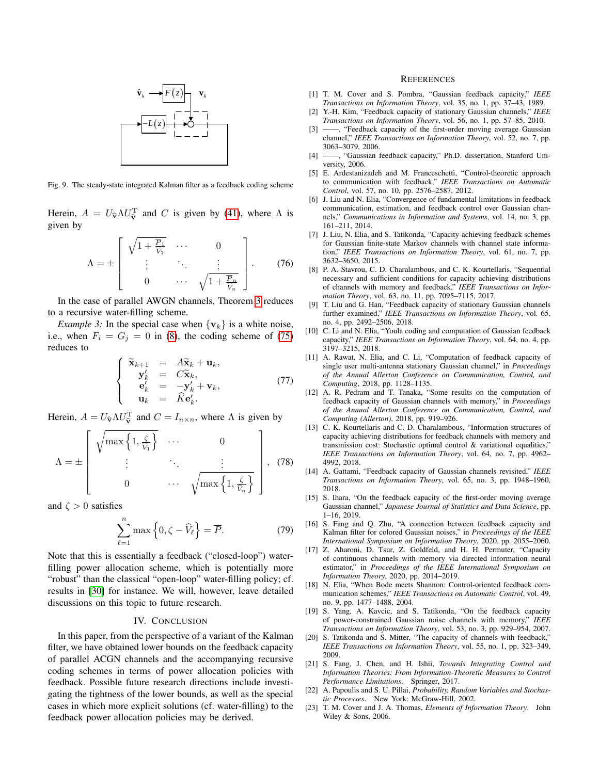

<span id="page-11-16"></span>Fig. 9. The steady-state integrated Kalman filter as a feedback coding scheme

Herein,  $A = U_{\hat{v}} \Lambda U_{\hat{v}}^{\mathrm{T}}$  and C is given by [\(41\)](#page-7-8), where  $\Lambda$  is given by given by

$$
\Lambda = \pm \left[ \begin{array}{ccc} \sqrt{1 + \frac{\overline{P}_1}{\widehat{V}_1}} & \cdots & 0 \\ \vdots & \ddots & \vdots \\ 0 & \cdots & \sqrt{1 + \frac{\overline{P}_n}{\widehat{V}_n}} \end{array} \right].
$$
 (76)

In the case of parallel AWGN channels, Theorem [3](#page-10-3) reduces to a recursive water-filling scheme.

*Example 3:* In the special case when  $\{v_k\}$  is a white noise, i.e., when  $F_i = G_j = 0$  in [\(8\)](#page-2-3), the coding scheme of [\(75\)](#page-10-4) reduces to

<span id="page-11-7"></span><span id="page-11-6"></span>
$$
\begin{cases}\n\widetilde{\mathbf{x}}_{k+1} = A\widetilde{\mathbf{x}}_k + \mathbf{u}_k, \\
\mathbf{y}'_k = C\widetilde{\mathbf{x}}_k, \\
\mathbf{e}'_k = -\mathbf{y}'_k + \mathbf{v}_k, \\
\mathbf{u}_k = \widehat{K}\mathbf{e}'_k.\n\end{cases}
$$
\n(77)

Herein,  $A = U_{\hat{\mathbf{v}}} \Lambda U_{\hat{\mathbf{v}}}^{\mathrm{T}}$  and  $C = I_{n \times n}$ , where  $\Lambda$  is given by

$$
\Lambda = \pm \left[ \begin{array}{ccc} \sqrt{\max\left\{1, \frac{\zeta}{\hat{V}_1}\right\}} & \cdots & 0 \\ \vdots & \ddots & \vdots \\ 0 & \cdots & \sqrt{\max\left\{1, \frac{\zeta}{\hat{V}_n}\right\}} \end{array} \right], (78)
$$

and  $\zeta > 0$  satisfies

<span id="page-11-10"></span><span id="page-11-9"></span>
$$
\sum_{\ell=1}^{n} \max\left\{0, \zeta - \widehat{V}_{\ell}\right\} = \overline{P}.\tag{79}
$$

Note that this is essentially a feedback ("closed-loop") waterfilling power allocation scheme, which is potentially more "robust" than the classical "open-loop" water-filling policy; cf. results in [\[30\]](#page-12-6) for instance. We will, however, leave detailed discussions on this topic to future research.

#### <span id="page-11-15"></span><span id="page-11-14"></span><span id="page-11-13"></span><span id="page-11-12"></span><span id="page-11-11"></span><span id="page-11-5"></span>IV. CONCLUSION

In this paper, from the perspective of a variant of the Kalman filter, we have obtained lower bounds on the feedback capacity of parallel ACGN channels and the accompanying recursive coding schemes in terms of power allocation policies with feedback. Possible future research directions include investigating the tightness of the lower bounds, as well as the special cases in which more explicit solutions (cf. water-filling) to the feedback power allocation policies may be derived.

#### <span id="page-11-2"></span><span id="page-11-1"></span><span id="page-11-0"></span>**REFERENCES**

- <span id="page-11-8"></span><span id="page-11-4"></span><span id="page-11-3"></span>*<sup>k</sup>* **v** [1] T. M. Cover and S. Pombra, "Gaussian feedback capacity," *IEEE Transactions on Information Theory*, vol. 35, no. 1, pp. 37–43, 1989.
	- [2] Y.-H. Kim, "Feedback capacity of stationary Gaussian channels," *IEEE Transactions on Information Theory*, vol. 56, no. 1, pp. 57–85, 2010.
	- [3] -, "Feedback capacity of the first-order moving average Gaussian channel," *IEEE Transactions on Information Theory*, vol. 52, no. 7, pp. 3063–3079, 2006.
	- [4] ——, "Gaussian feedback capacity," Ph.D. dissertation, Stanford University, 2006.
	- [5] E. Ardestanizadeh and M. Franceschetti, "Control-theoretic approach to communication with feedback," *IEEE Transactions on Automatic Control*, vol. 57, no. 10, pp. 2576–2587, 2012.
	- [6] J. Liu and N. Elia, "Convergence of fundamental limitations in feedback communication, estimation, and feedback control over Gaussian channels," *Communications in Information and Systems*, vol. 14, no. 3, pp. 161–211, 2014.
	- [7] J. Liu, N. Elia, and S. Tatikonda, "Capacity-achieving feedback schemes for Gaussian finite-state Markov channels with channel state information," *IEEE Transactions on Information Theory*, vol. 61, no. 7, pp. 3632–3650, 2015.
	- [8] P. A. Stavrou, C. D. Charalambous, and C. K. Kourtellaris, "Sequential necessary and sufficient conditions for capacity achieving distributions of channels with memory and feedback," *IEEE Transactions on Information Theory*, vol. 63, no. 11, pp. 7095–7115, 2017.
	- [9] T. Liu and G. Han, "Feedback capacity of stationary Gaussian channels further examined," *IEEE Transactions on Information Theory*, vol. 65, no. 4, pp. 2492–2506, 2018.
	- [10] C. Li and N. Elia, "Youla coding and computation of Gaussian feedback capacity," *IEEE Transactions on Information Theory*, vol. 64, no. 4, pp. 3197–3215, 2018.
	- [11] A. Rawat, N. Elia, and C. Li, "Computation of feedback capacity of single user multi-antenna stationary Gaussian channel," in *Proceedings of the Annual Allerton Conference on Communication, Control, and Computing*, 2018, pp. 1128–1135.
	- [12] A. R. Pedram and T. Tanaka, "Some results on the computation of feedback capacity of Gaussian channels with memory," in *Proceedings of the Annual Allerton Conference on Communication, Control, and Computing (Allerton)*, 2018, pp. 919–926.
	- [13] C. K. Kourtellaris and C. D. Charalambous, "Information structures of capacity achieving distributions for feedback channels with memory and transmission cost: Stochastic optimal control & variational equalities," *IEEE Transactions on Information Theory*, vol. 64, no. 7, pp. 4962– 4992, 2018.
	- [14] A. Gattami, "Feedback capacity of Gaussian channels revisited," *IEEE Transactions on Information Theory*, vol. 65, no. 3, pp. 1948–1960, 2018.
	- [15] S. Ihara, "On the feedback capacity of the first-order moving average Gaussian channel," *Japanese Journal of Statistics and Data Science*, pp. 1–16, 2019.
	- [16] S. Fang and Q. Zhu, "A connection between feedback capacity and Kalman filter for colored Gaussian noises," in *Proceedings of the IEEE International Symposium on Information Theory*, 2020, pp. 2055–2060.
	- [17] Z. Aharoni, D. Tsur, Z. Goldfeld, and H. H. Permuter, "Capacity of continuous channels with memory via directed information neural estimator," in *Proceedings of the IEEE International Symposium on Information Theory*, 2020, pp. 2014–2019.
	- [18] N. Elia, "When Bode meets Shannon: Control-oriented feedback communication schemes," *IEEE Transactions on Automatic Control*, vol. 49, no. 9, pp. 1477–1488, 2004.
	- [19] S. Yang, A. Kavcic, and S. Tatikonda, "On the feedback capacity of power-constrained Gaussian noise channels with memory," *IEEE Transactions on Information Theory*, vol. 53, no. 3, pp. 929–954, 2007.
	- [20] S. Tatikonda and S. Mitter, "The capacity of channels with feedback," *IEEE Transactions on Information Theory*, vol. 55, no. 1, pp. 323–349, 2009.
	- [21] S. Fang, J. Chen, and H. Ishii, *Towards Integrating Control and Information Theories: From Information-Theoretic Measures to Control Performance Limitations*. Springer, 2017.
	- [22] A. Papoulis and S. U. Pillai, *Probability, Random Variables and Stochastic Processes*. New York: McGraw-Hill, 2002.
	- [23] T. M. Cover and J. A. Thomas, *Elements of Information Theory*. John Wiley & Sons, 2006.